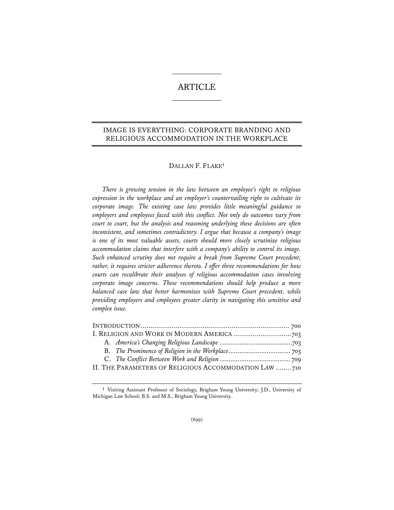# ARTICLE

# IMAGE IS EVERYTHING: CORPORATE BRANDING AND RELIGIOUS ACCOMMODATION IN THE WORKPLACE

## DALLAN F. FLAKE**†**

*There is growing tension in the law between an employee's right to religious expression in the workplace and an employer's countervailing right to cultivate its corporate image. The existing case law provides little meaningful guidance to employers and employees faced with this conflict. Not only do outcomes vary from court to court, but the analysis and reasoning underlying these decisions are often inconsistent, and sometimes contradictory. I argue that because a company's image is one of its most valuable assets, courts should more closely scrutinize religious accommodation claims that interfere with a company's ability to control its image. Such enhanced scrutiny does not require a break from Supreme Court precedent; rather, it requires stricter adherence thereto. I offer three recommendations for how courts can recalibrate their analyses of religious accommodation cases involving corporate image concerns. These recommendations should help produce a more balanced case law that better harmonizes with Supreme Court precedent, while providing employers and employees greater clarity in navigating this sensitive and complex issue.* 

| II. THE PARAMETERS OF RELIGIOUS ACCOMMODATION LAW 710 |  |
|-------------------------------------------------------|--|

**<sup>†</sup>** Visiting Assistant Professor of Sociology, Brigham Young University; J.D., University of Michigan Law School; B.S. and M.S., Brigham Young University.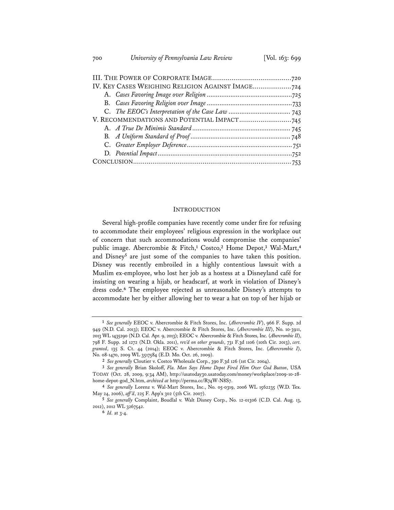| IV. KEY CASES WEIGHING RELIGION AGAINST IMAGE 724 |  |
|---------------------------------------------------|--|
|                                                   |  |
|                                                   |  |
|                                                   |  |
|                                                   |  |
|                                                   |  |
|                                                   |  |
|                                                   |  |
|                                                   |  |
|                                                   |  |
|                                                   |  |

## INTRODUCTION

Several high-profile companies have recently come under fire for refusing to accommodate their employees' religious expression in the workplace out of concern that such accommodations would compromise the companies' public image. Abercrombie & Fitch,**<sup>1</sup>** Costco,**<sup>2</sup>** Home Depot,**<sup>3</sup>** Wal-Mart,**<sup>4</sup>** and Disney<sup>5</sup> are just some of the companies to have taken this position. Disney was recently embroiled in a highly contentious lawsuit with a Muslim ex-employee, who lost her job as a hostess at a Disneyland café for insisting on wearing a hijab, or headscarf, at work in violation of Disney's dress code.**<sup>6</sup>** The employee rejected as unreasonable Disney's attempts to accommodate her by either allowing her to wear a hat on top of her hijab or

**<sup>1</sup>** *See generally* EEOC v. Abercrombie & Fitch Stores, Inc. (*Abercrombie IV*), 966 F. Supp. 2d 949 (N.D. Cal. 2013); EEOC v. Abercrombie & Fitch Stores, Inc. (*Abercrombie III*), No. 10-3911, 2013 WL 1435290 (N.D. Cal. Apr. 9, 2013); EEOC v. Abercrombie & Fitch Stores, Inc. (*Abercrombie II*), 798 F. Supp. 2d 1272 (N.D. Okla. 2011), *rev'd on other grounds*, 731 F.3d 1106 (10th Cir. 2013), *cert. granted*, 135 S. Ct. 44 (2014); EEOC v. Abercrombie & Fitch Stores, Inc. (*Abercrombie I*), No. 08-1470, 2009 WL 3517584 (E.D. Mo. Oct. 26, 2009).

**<sup>2</sup>** *See generally* Cloutier v. Costco Wholesale Corp., 390 F.3d 126 (1st Cir. 2004).

**<sup>3</sup>** *See generally* Brian Skoloff, *Fla. Man Says Home Depot Fired Him Over God Button*, USA TODAY (Oct. 28, 2009, 9:34 AM), http://usatoday30.usatoday.com/money/workplace/2009-10-28-

<sup>&</sup>lt;sup>4</sup> See generally Lorenz v. Wal-Mart Stores, Inc., No. 05-0319, 2006 WL 1562235 (W.D. Tex. May 24, 2006), *aff 'd*, 225 F. App'x 302 (5th Cir. 2007).

**<sup>5</sup>** *See generally* Complaint, Boudlal v. Walt Disney Corp., No. 12-01306 (C.D. Cal. Aug. 13, 2012), 2012 WL 3267542.

**<sup>6</sup>** *Id.* at 3-4.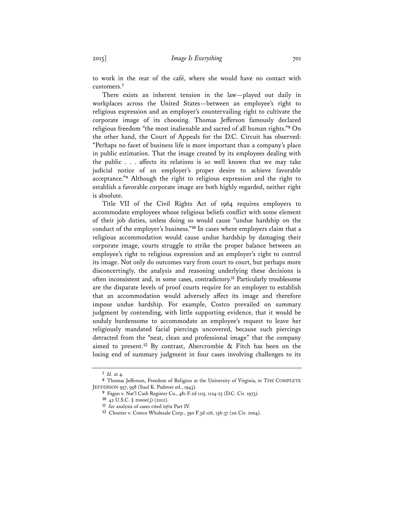to work in the rear of the café, where she would have no contact with customers.**<sup>7</sup>**

There exists an inherent tension in the law—played out daily in workplaces across the United States—between an employee's right to religious expression and an employer's countervailing right to cultivate the corporate image of its choosing. Thomas Jefferson famously declared religious freedom "the most inalienable and sacred of all human rights."**<sup>8</sup>** On the other hand, the Court of Appeals for the D.C. Circuit has observed: "Perhaps no facet of business life is more important than a company's place in public estimation. That the image created by its employees dealing with the public . . . affects its relations is so well known that we may take judicial notice of an employer's proper desire to achieve favorable acceptance."**<sup>9</sup>** Although the right to religious expression and the right to establish a favorable corporate image are both highly regarded, neither right is absolute.

Title VII of the Civil Rights Act of 1964 requires employers to accommodate employees whose religious beliefs conflict with some element of their job duties, unless doing so would cause "undue hardship on the conduct of the employer's business."**<sup>10</sup>** In cases where employers claim that a religious accommodation would cause undue hardship by damaging their corporate image, courts struggle to strike the proper balance between an employee's right to religious expression and an employer's right to control its image. Not only do outcomes vary from court to court, but perhaps more disconcertingly, the analysis and reasoning underlying these decisions is often inconsistent and, in some cases, contradictory.**<sup>11</sup>** Particularly troublesome are the disparate levels of proof courts require for an employer to establish that an accommodation would adversely affect its image and therefore impose undue hardship. For example, Costco prevailed on summary judgment by contending, with little supporting evidence, that it would be unduly burdensome to accommodate an employee's request to leave her religiously mandated facial piercings uncovered, because such piercings detracted from the "neat, clean and professional image" that the company aimed to present.**<sup>12</sup>** By contrast, Abercrombie & Fitch has been on the losing end of summary judgment in four cases involving challenges to its

**<sup>7</sup>** *Id.* at 4.

**<sup>8</sup>** Thomas Jefferson, Freedom of Religion at the University of Virginia, *in* THE COMPLETE JEFFERSON 957, 958 (Saul K. Padover ed., 1943).

**<sup>9</sup>** Fagan v. Nat'l Cash Register Co., 481 F.2d 1115, 1124-25 (D.C. Cir. 1973).

<sup>11</sup> See analysis of cases cited *infra* Part IV.

**<sup>12</sup>** Cloutier v. Costco Wholesale Corp., 390 F.3d 126, 136-37 (1st Cir. 2004).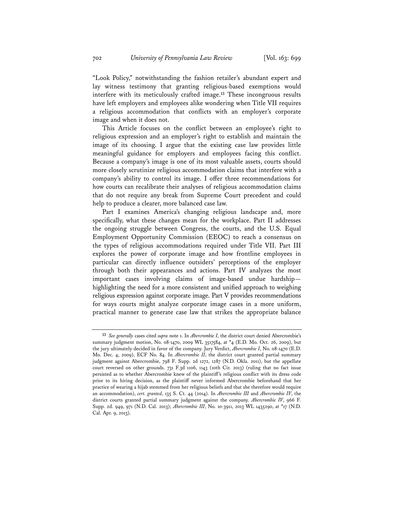"Look Policy," notwithstanding the fashion retailer's abundant expert and lay witness testimony that granting religious-based exemptions would interfere with its meticulously crafted image.**<sup>13</sup>** These incongruous results have left employers and employees alike wondering when Title VII requires a religious accommodation that conflicts with an employer's corporate image and when it does not.

This Article focuses on the conflict between an employee's right to religious expression and an employer's right to establish and maintain the image of its choosing. I argue that the existing case law provides little meaningful guidance for employers and employees facing this conflict. Because a company's image is one of its most valuable assets, courts should more closely scrutinize religious accommodation claims that interfere with a company's ability to control its image. I offer three recommendations for how courts can recalibrate their analyses of religious accommodation claims that do not require any break from Supreme Court precedent and could help to produce a clearer, more balanced case law.

Part I examines America's changing religious landscape and, more specifically, what these changes mean for the workplace. Part II addresses the ongoing struggle between Congress, the courts, and the U.S. Equal Employment Opportunity Commission (EEOC) to reach a consensus on the types of religious accommodations required under Title VII. Part III explores the power of corporate image and how frontline employees in particular can directly influence outsiders' perceptions of the employer through both their appearances and actions. Part IV analyzes the most important cases involving claims of image-based undue hardship highlighting the need for a more consistent and unified approach to weighing religious expression against corporate image. Part V provides recommendations for ways courts might analyze corporate image cases in a more uniform, practical manner to generate case law that strikes the appropriate balance

**<sup>13</sup>** *See generally* cases cited *supra* note 1. In *Abercrombie I*, the district court denied Abercrombie's summary judgment motion, No. 08-1470, 2009 WL 3517584, at \*4 (E.D. Mo. Oct. 26, 2009), but the jury ultimately decided in favor of the company. Jury Verdict, *Abercrombie I*, No. 08-1470 (E.D. Mo. Dec. 4, 2009), ECF No. 84. In *Abercrombie II*, the district court granted partial summary judgment against Abercrombie, 798 F. Supp. 2d 1272, 1287 (N.D. Okla. 2011), but the appellate court reversed on other grounds. 731 F.3d 1106, 1143 (10th Cir. 2013) (ruling that no fact issue persisted as to whether Abercrombie knew of the plaintiff's religious conflict with its dress code prior to its hiring decision, as the plaintiff never informed Abercrombie beforehand that her practice of wearing a hijab stemmed from her religious beliefs and that she therefore would require an accommodation), *cert. granted*, 135 S. Ct. 44 (2014). In *Abercrombie III* and *Abercrombie IV*, the district courts granted partial summary judgment against the company. *Abercrombie IV*, 966 F. Supp. 2d. 949, 971 (N.D. Cal. 2013); *Abercrombie III*, No. 10-3911, 2013 WL 1435290, at \*17 (N.D. Cal. Apr. 9, 2013).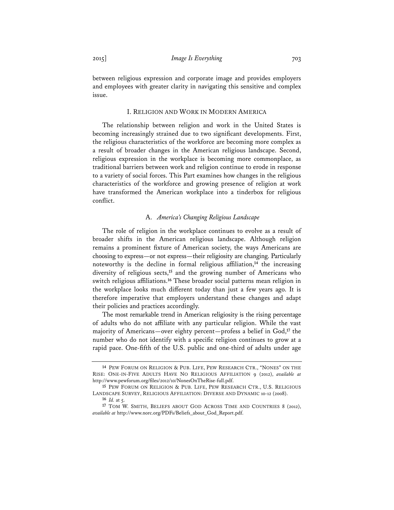between religious expression and corporate image and provides employers and employees with greater clarity in navigating this sensitive and complex issue.

### I. RELIGION AND WORK IN MODERN AMERICA

The relationship between religion and work in the United States is becoming increasingly strained due to two significant developments. First, the religious characteristics of the workforce are becoming more complex as a result of broader changes in the American religious landscape. Second, religious expression in the workplace is becoming more commonplace, as traditional barriers between work and religion continue to erode in response to a variety of social forces. This Part examines how changes in the religious characteristics of the workforce and growing presence of religion at work have transformed the American workplace into a tinderbox for religious conflict.

## A. *America's Changing Religious Landscape*

The role of religion in the workplace continues to evolve as a result of broader shifts in the American religious landscape. Although religion remains a prominent fixture of American society, the ways Americans are choosing to express—or not express—their religiosity are changing. Particularly noteworthy is the decline in formal religious affiliation,**<sup>14</sup>** the increasing diversity of religious sects,**<sup>15</sup>** and the growing number of Americans who switch religious affiliations.**<sup>16</sup>** These broader social patterns mean religion in the workplace looks much different today than just a few years ago. It is therefore imperative that employers understand these changes and adapt their policies and practices accordingly.

The most remarkable trend in American religiosity is the rising percentage of adults who do not affiliate with any particular religion. While the vast majority of Americans—over eighty percent—profess a belief in God,**<sup>17</sup>** the number who do not identify with a specific religion continues to grow at a rapid pace. One-fifth of the U.S. public and one-third of adults under age

**<sup>14</sup>** PEW FORUM ON RELIGION & PUB. LIFE, PEW RESEARCH CTR., "NONES" ON THE RISE: ONE-IN-FIVE ADULTS HAVE NO RELIGIOUS AFFILIATION 9 (2012), *available at* http://www.pewforum.org/files/2012/10/NonesOnTheRise-full.pdf.

**<sup>15</sup>** PEW FORUM ON RELIGION & PUB. LIFE, PEW RESEARCH CTR., U.S. RELIGIOUS LANDSCAPE SURVEY, RELIGIOUS AFFILIATION: DIVERSE AND DYNAMIC 10-12 (2008).

**<sup>16</sup>** *Id.* at 5.

**<sup>17</sup>** TOM W. SMITH, BELIEFS ABOUT GOD ACROSS TIME AND COUNTRIES 8 (2012), *available at* http://www.norc.org/PDFs/Beliefs\_about\_God\_Report.pdf.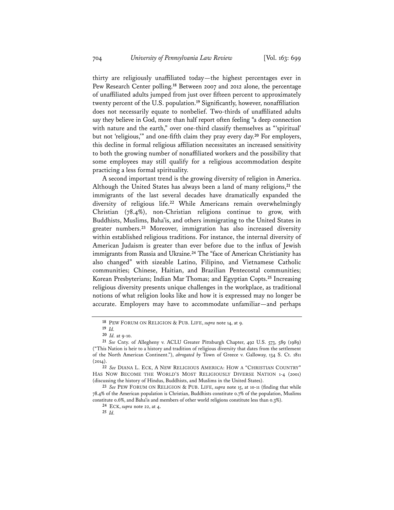thirty are religiously unaffiliated today—the highest percentages ever in Pew Research Center polling.**<sup>18</sup>** Between 2007 and 2012 alone, the percentage of unaffiliated adults jumped from just over fifteen percent to approximately twenty percent of the U.S. population.**<sup>19</sup>** Significantly, however, nonaffiliation does not necessarily equate to nonbelief. Two-thirds of unaffiliated adults say they believe in God, more than half report often feeling "a deep connection with nature and the earth," over one-third classify themselves as "'spiritual' but not 'religious,'" and one-fifth claim they pray every day.**<sup>20</sup>** For employers, this decline in formal religious affiliation necessitates an increased sensitivity to both the growing number of nonaffiliated workers and the possibility that some employees may still qualify for a religious accommodation despite practicing a less formal spirituality.

A second important trend is the growing diversity of religion in America. Although the United States has always been a land of many religions,**<sup>21</sup>** the immigrants of the last several decades have dramatically expanded the diversity of religious life.**<sup>22</sup>** While Americans remain overwhelmingly Christian (78.4%), non-Christian religions continue to grow, with Buddhists, Muslims, Baha'is, and others immigrating to the United States in greater numbers.**<sup>23</sup>** Moreover, immigration has also increased diversity within established religious traditions. For instance, the internal diversity of American Judaism is greater than ever before due to the influx of Jewish immigrants from Russia and Ukraine.**<sup>24</sup>** The "face of American Christianity has also changed" with sizeable Latino, Filipino, and Vietnamese Catholic communities; Chinese, Haitian, and Brazilian Pentecostal communities; Korean Presbyterians; Indian Mar Thomas; and Egyptian Copts.**<sup>25</sup>** Increasing religious diversity presents unique challenges in the workplace, as traditional notions of what religion looks like and how it is expressed may no longer be accurate. Employers may have to accommodate unfamiliar—and perhaps

**<sup>18</sup>** PEW FORUM ON RELIGION & PUB. LIFE, *supra* note 14, at 9.

**<sup>19</sup>** *Id.* 

**<sup>20</sup>** *Id.* at 9-10.

**<sup>21</sup>** *See* Cnty. of Allegheny v. ACLU Greater Pittsburgh Chapter, 492 U.S. 573, 589 (1989) ("This Nation is heir to a history and tradition of religious diversity that dates from the settlement of the North American Continent."), *abrogated by* Town of Greece v. Galloway, 134 S. Ct. 1811 (2014).

**<sup>22</sup>** *See* DIANA L. ECK, A NEW RELIGIOUS AMERICA: HOW A "CHRISTIAN COUNTRY" HAS NOW BECOME THE WORLD'S MOST RELIGIOUSLY DIVERSE NATION 1-4 (2001) (discussing the history of Hindus, Buddhists, and Muslims in the United States).

**<sup>23</sup>** *See* PEW FORUM ON RELIGION & PUB. LIFE, *supra* note 15, at 10-11 (finding that while 78.4% of the American population is Christian, Buddhists constitute 0.7% of the population, Muslims constitute 0.6%, and Baha'is and members of other world religions constitute less than 0.3%).

**<sup>24</sup>** ECK, *supra* note 22, at 4.

**<sup>25</sup>** *Id.*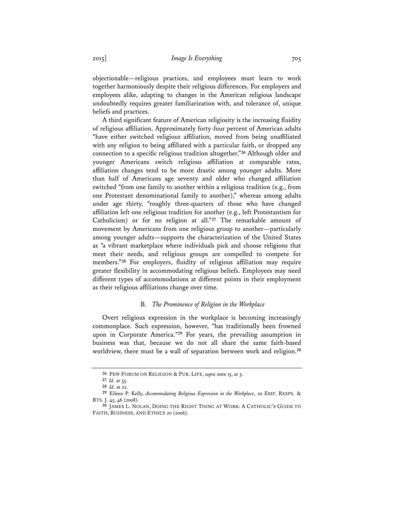objectionable—religious practices, and employees must learn to work together harmoniously despite their religious differences. For employers and employees alike, adapting to changes in the American religious landscape undoubtedly requires greater familiarization with, and tolerance of, unique beliefs and practices.

A third significant feature of American religiosity is the increasing fluidity of religious affiliation. Approximately forty-four percent of American adults "have either switched religious affiliation, moved from being unaffiliated with any religion to being affiliated with a particular faith, or dropped any connection to a specific religious tradition altogether."**<sup>26</sup>** Although older and younger Americans switch religious affiliation at comparable rates, affiliation changes tend to be more drastic among younger adults. More than half of Americans age seventy and older who changed affiliation switched "from one family to another within a religious tradition (e.g., from one Protestant denominational family to another)," whereas among adults under age thirty, "roughly three-quarters of those who have changed affiliation left one religious tradition for another (e.g., left Protestantism for Catholicism) or for no religion at all."**<sup>27</sup>** The remarkable amount of movement by Americans from one religious group to another—particularly among younger adults—supports the characterization of the United States as "a vibrant marketplace where individuals pick and choose religions that meet their needs, and religious groups are compelled to compete for members."**<sup>28</sup>** For employers, fluidity of religious affiliation may require greater flexibility in accommodating religious beliefs. Employees may need different types of accommodations at different points in their employment as their religious affiliations change over time.

## B. *The Prominence of Religion in the Workplace*

Overt religious expression in the workplace is becoming increasingly commonplace. Such expression, however, "has traditionally been frowned upon in Corporate America."**<sup>29</sup>** For years, the prevailing assumption in business was that, because we do not all share the same faith-based worldview, there must be a wall of separation between work and religion.**<sup>30</sup>**

**<sup>26</sup>** PEW FORUM ON RELIGION & PUB. LIFE, *supra* note 15, at 5.

**<sup>27</sup>** *Id.* at 33.

**<sup>28</sup>** *Id.* at 22. **29** Eileen P. Kelly, *Accommodating Religious Expression in the Workplace*, 20 EMP. RESPS. & RTS. J. 45, 46 (2008).

**<sup>30</sup>** JAMES L. NOLAN, DOING THE RIGHT THING AT WORK: A CATHOLIC'S GUIDE TO FAITH, BUSINESS, AND ETHICS 20 (2006).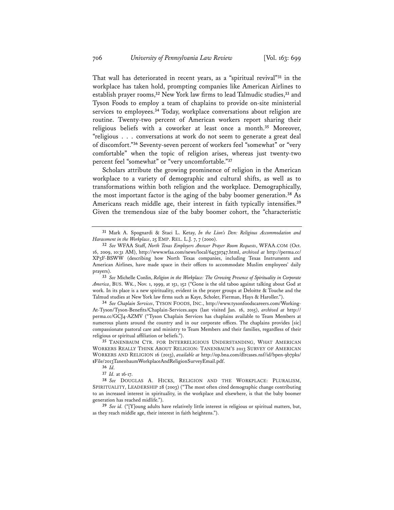That wall has deteriorated in recent years, as a "spiritual revival"**<sup>31</sup>** in the workplace has taken hold, prompting companies like American Airlines to establish prayer rooms,**<sup>32</sup>** New York law firms to lead Talmudic studies,**<sup>33</sup>** and Tyson Foods to employ a team of chaplains to provide on-site ministerial services to employees.**<sup>34</sup>** Today, workplace conversations about religion are routine. Twenty-two percent of American workers report sharing their religious beliefs with a coworker at least once a month.**<sup>35</sup>** Moreover, "religious . . . conversations at work do not seem to generate a great deal of discomfort."**<sup>36</sup>** Seventy-seven percent of workers feel "somewhat" or "very comfortable" when the topic of religion arises, whereas just twenty-two percent feel "somewhat" or "very uncomfortable."**<sup>37</sup>**

Scholars attribute the growing prominence of religion in the American workplace to a variety of demographic and cultural shifts, as well as to transformations within both religion and the workplace. Demographically, the most important factor is the aging of the baby boomer generation.**<sup>38</sup>** As Americans reach middle age, their interest in faith typically intensifies.**<sup>39</sup>** Given the tremendous size of the baby boomer cohort, the "characteristic

**<sup>33</sup>** *See* Michelle Conlin, *Religion in the Workplace: The Growing Presence of Spirituality in Corporate America*, BUS. WK., Nov. 1, 1999, at 151, 152 ("Gone is the old taboo against talking about God at work. In its place is a new spirituality, evident in the prayer groups at Deloitte & Touche and the Talmud studies at New York law firms such as Kaye, Scholer, Fierman, Hays & Haroller.").

**<sup>34</sup>** *See Chaplain Services*, TYSON FOODS, INC., http://www.tysonfoodscareers.com/Working-At-Tyson/Tyson-Benefits/Chaplain-Services.aspx (last visited Jan. 16, 2015), *archived at* http:// perma.cc/GCJ4-AZMV ("Tyson Chaplain Services has chaplains available to Team Members at numerous plants around the country and in our corporate offices. The chaplains provides [sic] compassionate pastoral care and ministry to Team Members and their families, regardless of their religious or spiritual affiliation or beliefs.").

**<sup>35</sup>** TANENBAUM CTR. FOR INTERRELIGIOUS UNDERSTANDING, WHAT AMERICAN WORKERS REALLY THINK ABOUT RELIGION: TANENBAUM'S 2013 SURVEY OF AMERICAN WORKERS AND RELIGION 16 (2013), *available at* http://op.bna.com/dlrcases.nsf/id/bpen-9b7pks/ \$File/2013TanenbaumWorkplaceAndReligionSurveyEmail.pdf.

**<sup>31</sup>** Mark A. Spognardi & Staci L. Ketay, *In the Lion's Den: Religious Accommodation and Harassment in the Workplace*, 25 EMP. REL. L.J. 7, 7 (2000).

**<sup>32</sup>** *See* WFAA Staff, *North Texas Employers Answer Prayer Room Requests*, WFAA.COM (Oct. 16, 2009, 10:31 AM), http://www.wfaa.com/news/local/64530747.html, *archived at* http://perma.cc/ XP5F-BSWW (describing how North Texas companies, including Texas Instruments and American Airlines, have made space in their offices to accommodate Muslim employees' daily prayers).

**<sup>36</sup>** *Id.*

**<sup>37</sup>** *Id.* at 16-17.

**<sup>38</sup>** *See* DOUGLAS A. HICKS, RELIGION AND THE WORKPLACE: PLURALISM, SPIRITUALITY, LEADERSHIP 28 (2003) ("The most often cited demographic change contributing to an increased interest in spirituality, in the workplace and elsewhere, is that the baby boomer generation has reached midlife.").

**<sup>39</sup>** *See id.* ("[Y]oung adults have relatively little interest in religious or spiritual matters, but, as they reach middle age, their interest in faith heightens.").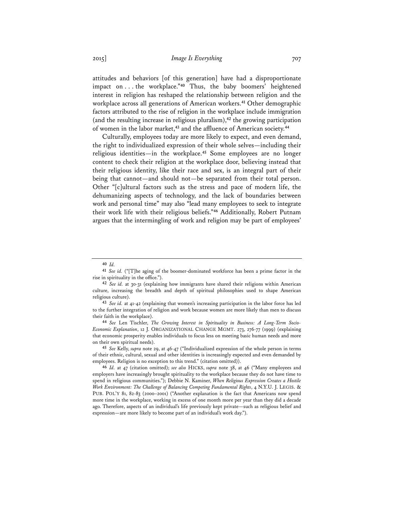attitudes and behaviors [of this generation] have had a disproportionate impact on . . . the workplace."**<sup>40</sup>** Thus, the baby boomers' heightened interest in religion has reshaped the relationship between religion and the workplace across all generations of American workers.**<sup>41</sup>** Other demographic factors attributed to the rise of religion in the workplace include immigration (and the resulting increase in religious pluralism),**<sup>42</sup>** the growing participation of women in the labor market,**<sup>43</sup>** and the affluence of American society.**<sup>44</sup>**

Culturally, employees today are more likely to expect, and even demand, the right to individualized expression of their whole selves—including their religious identities—in the workplace.**<sup>45</sup>** Some employees are no longer content to check their religion at the workplace door, believing instead that their religious identity, like their race and sex, is an integral part of their being that cannot—and should not—be separated from their total person. Other "[c]ultural factors such as the stress and pace of modern life, the dehumanizing aspects of technology, and the lack of boundaries between work and personal time" may also "lead many employees to seek to integrate their work life with their religious beliefs."**<sup>46</sup>** Additionally, Robert Putnam argues that the intermingling of work and religion may be part of employees'

**<sup>40</sup>** *Id.* **<sup>41</sup>** *See id.* ("[T]he aging of the boomer-dominated workforce has been a prime factor in the rise in spirituality in the office.").

**<sup>42</sup>** *See id.* at 30-31 (explaining how immigrants have shared their religions within American culture, increasing the breadth and depth of spiritual philosophies used to shape American religious culture).

**<sup>43</sup>** *See id.* at 41-42 (explaining that women's increasing participation in the labor force has led to the further integration of religion and work because women are more likely than men to discuss their faith in the workplace). **<sup>44</sup>** *See* Len Tischler, *The Growing Interest in Spirituality in Business: A Long-Term Socio-*

*Economic Explanation*, 12 J. ORGANIZATIONAL CHANGE MGMT. 273, 276-77 (1999) (explaining that economic prosperity enables individuals to focus less on meeting basic human needs and more on their own spiritual needs).

**<sup>45</sup>** *See* Kelly, *supra* note 29, at 46-47 ("Individualized expression of the whole person in terms of their ethnic, cultural, sexual and other identities is increasingly expected and even demanded by employees. Religion is no exception to this trend." (citation omitted)).

**<sup>46</sup>** *Id.* at 47 (citation omitted); *see also* HICKS, *supra* note 38, at 46 ("Many employees and employers have increasingly brought spirituality to the workplace because they do not have time to spend in religious communities."); Debbie N. Kaminer, *When Religious Expression Creates a Hostile Work Environment: The Challenge of Balancing Competing Fundamental Rights*, 4 N.Y.U. J. LEGIS. & PUB. POL'Y 81, 82-83 (2000–2001) ("Another explanation is the fact that Americans now spend more time in the workplace, working in excess of one month more per year than they did a decade ago. Therefore, aspects of an individual's life previously kept private—such as religious belief and expression—are more likely to become part of an individual's work day.").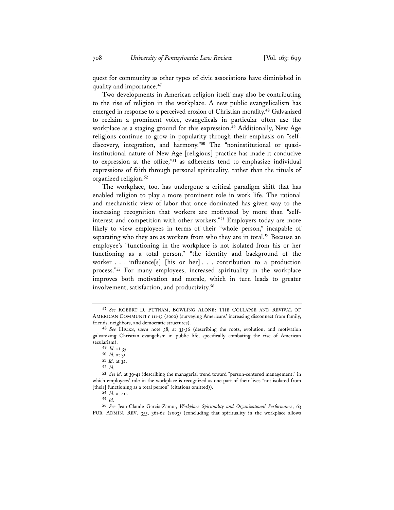quest for community as other types of civic associations have diminished in quality and importance.**<sup>47</sup>**

Two developments in American religion itself may also be contributing to the rise of religion in the workplace. A new public evangelicalism has emerged in response to a perceived erosion of Christian morality.**<sup>48</sup>** Galvanized to reclaim a prominent voice, evangelicals in particular often use the workplace as a staging ground for this expression.**<sup>49</sup>** Additionally, New Age religions continue to grow in popularity through their emphasis on "selfdiscovery, integration, and harmony."**<sup>50</sup>** The "noninstitutional or quasiinstitutional nature of New Age [religious] practice has made it conducive to expression at the office,"**<sup>51</sup>** as adherents tend to emphasize individual expressions of faith through personal spirituality, rather than the rituals of organized religion.**<sup>52</sup>**

The workplace, too, has undergone a critical paradigm shift that has enabled religion to play a more prominent role in work life. The rational and mechanistic view of labor that once dominated has given way to the increasing recognition that workers are motivated by more than "selfinterest and competition with other workers."**<sup>53</sup>** Employers today are more likely to view employees in terms of their "whole person," incapable of separating who they are as workers from who they are in total.**<sup>54</sup>** Because an employee's "functioning in the workplace is not isolated from his or her functioning as a total person," "the identity and background of the worker . . . influence[s] [his or her] . . . contribution to a production process."**<sup>55</sup>** For many employees, increased spirituality in the workplace improves both motivation and morale, which in turn leads to greater involvement, satisfaction, and productivity.**<sup>56</sup>**

**<sup>47</sup>** *See* ROBERT D. PUTNAM, BOWLING ALONE: THE COLLAPSE AND REVIVAL OF AMERICAN COMMUNITY 111-13 (2000) (surveying Americans' increasing disconnect from family, friends, neighbors, and democratic structures).

**<sup>48</sup>** *See* HICKS, *supra* note 38, at 33-36 (describing the roots, evolution, and motivation galvanizing Christian evangelism in public life, specifically combating the rise of American secularism).

**<sup>49</sup>** *Id.* at 35.

**<sup>50</sup>** *Id.* at 31.

**<sup>51</sup>** *Id.* at 32.

**<sup>52</sup>** *Id.* 

**<sup>53</sup>** *See id.* at 39-41 (describing the managerial trend toward "person-centered management," in which employees' role in the workplace is recognized as one part of their lives "not isolated from [their] functioning as a total person" (citations omitted)).

**<sup>54</sup>** *Id.* at 40.

**<sup>55</sup>** *Id.*

**<sup>56</sup>** *See* Jean-Claude Garcia-Zamor, *Workplace Spirituality and Organizational Performance*, 63 PUB. ADMIN. REV. 355, 361-62 (2003) (concluding that spirituality in the workplace allows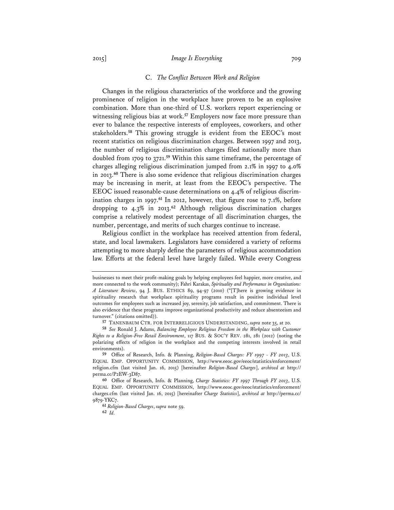#### 2015] *Image Is Everything* 709

#### C. *The Conflict Between Work and Religion*

Changes in the religious characteristics of the workforce and the growing prominence of religion in the workplace have proven to be an explosive combination. More than one-third of U.S. workers report experiencing or witnessing religious bias at work.**<sup>57</sup>** Employers now face more pressure than ever to balance the respective interests of employees, coworkers, and other stakeholders.**<sup>58</sup>** This growing struggle is evident from the EEOC's most recent statistics on religious discrimination charges. Between 1997 and 2013, the number of religious discrimination charges filed nationally more than doubled from 1709 to 3721.**<sup>59</sup>** Within this same timeframe, the percentage of charges alleging religious discrimination jumped from 2.1% in 1997 to 4.0% in 2013.**<sup>60</sup>** There is also some evidence that religious discrimination charges may be increasing in merit, at least from the EEOC's perspective. The EEOC issued reasonable-cause determinations on 4.4% of religious discrimination charges in 1997.**<sup>61</sup>** In 2012, however, that figure rose to 7.1%, before dropping to 4.3% in 2013.**<sup>62</sup>** Although religious discrimination charges comprise a relatively modest percentage of all discrimination charges, the number, percentage, and merits of such charges continue to increase.

Religious conflict in the workplace has received attention from federal, state, and local lawmakers. Legislators have considered a variety of reforms attempting to more sharply define the parameters of religious accommodation law. Efforts at the federal level have largely failed. While every Congress

businesses to meet their profit-making goals by helping employees feel happier, more creative, and more connected to the work community); Fahri Karakas, *Spirituality and Performance in Organizations: A Literature Review*, 94 J. BUS. ETHICS 89, 94-97 (2010) ("[T]here is growing evidence in spirituality research that workplace spirituality programs result in positive individual level outcomes for employees such as increased joy, serenity, job satisfaction, and commitment. There is also evidence that these programs improve organizational productivity and reduce absenteeism and turnover." (citations omitted)).

**<sup>57</sup>** TANENBAUM CTR. FOR INTERRELIGIOUS UNDERSTANDING, *supra* note 35, at 20.

**<sup>58</sup>** *See* Ronald J. Adams, *Balancing Employee Religious Freedom in the Workplace with Customer Rights to a Religion-Free Retail Environment*, 117 BUS. & SOC'Y REV. 281, 281 (2012) (noting the polarizing effects of religion in the workplace and the competing interests involved in retail environments).

**<sup>59</sup>** Office of Research, Info. & Planning, *Religion-Based Charges: FY 1997 - FY 2013*, U.S. EQUAL EMP. OPPORTUNITY COMMISSION, http://www.eeoc.gov/eeoc/statistics/enforcement/ religion.cfm (last visited Jan. 16, 2015) [hereinafter *Religion-Based Charges*], *archived at* http:// perma.cc/P2EW-3D87.

**<sup>60</sup>** Office of Research, Info. & Planning, *Charge Statistics: FY 1997 Through FY 2013*, U.S. EQUAL EMP. OPPORTUNITY COMMISSION, http://www.eeoc.gov/eeoc/statistics/enforcement/ charges.cfm (last visited Jan. 16, 2015) [hereinafter *Charge Statistics*], *archived at* http://perma.cc/ 9879-YKC7.

**<sup>61</sup>** *Religion-Based Charges*, *supra* note 59. **<sup>62</sup>** *Id.*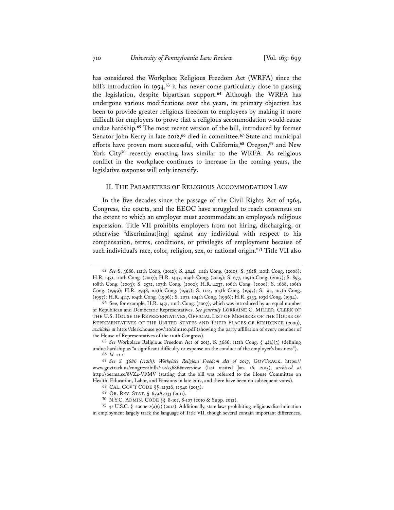has considered the Workplace Religious Freedom Act (WRFA) since the bill's introduction in 1994,**<sup>63</sup>** it has never come particularly close to passing the legislation, despite bipartisan support.**<sup>64</sup>** Although the WRFA has undergone various modifications over the years, its primary objective has been to provide greater religious freedom to employees by making it more difficult for employers to prove that a religious accommodation would cause undue hardship.**<sup>65</sup>** The most recent version of the bill, introduced by former Senator John Kerry in late 2012,**<sup>66</sup>** died in committee.**<sup>67</sup>** State and municipal efforts have proven more successful, with California,**<sup>68</sup>** Oregon,**<sup>69</sup>** and New York City**<sup>70</sup>** recently enacting laws similar to the WRFA. As religious conflict in the workplace continues to increase in the coming years, the legislative response will only intensify.

## II. THE PARAMETERS OF RELIGIOUS ACCOMMODATION LAW

In the five decades since the passage of the Civil Rights Act of 1964, Congress, the courts, and the EEOC have struggled to reach consensus on the extent to which an employer must accommodate an employee's religious expression. Title VII prohibits employers from not hiring, discharging, or otherwise "discriminat[ing] against any individual with respect to his compensation, terms, conditions, or privileges of employment because of such individual's race, color, religion, sex, or national origin."**<sup>71</sup>** Title VII also

**<sup>63</sup>** *See* S. 3686, 112th Cong. (2012); S. 4046, 111th Cong. (2010); S. 3628, 110th Cong. (2008); H.R. 1431, 110th Cong. (2007); H.R. 1445, 109th Cong. (2005); S. 677, 109th Cong. (2005); S. 893, 108th Cong. (2003); S. 2572, 107th Cong. (2002); H.R. 4237, 106th Cong. (2000); S. 1668, 106th Cong. (1999); H.R. 2948, 105th Cong. (1997); S. 1124, 105th Cong. (1997); S. 92, 105th Cong. (1997); H.R. 4117, 104th Cong. (1996); S. 2071, 104th Cong. (1996); H.R. 5233, 103d Cong. (1994).

**<sup>64</sup>** See, for example, H.R. 1431, 110th Cong. (2007), which was introduced by an equal number of Republican and Democratic Representatives. *See generally* LORRAINE C. MILLER, CLERK OF THE U.S. HOUSE OF REPRESENTATIVES, OFFICIAL LIST OF MEMBERS OF THE HOUSE OF REPRESENTATIVES OF THE UNITED STATES AND THEIR PLACES OF RESIDENCE (2009), *available at* http://clerk.house.gov/110/olm110.pdf (showing the party affiliation of every member of the House of Representatives of the 110th Congress).

**<sup>65</sup>** *See* Workplace Religious Freedom Act of 2013, S. 3686, 112th Cong. § 4(a)(3) (defining undue hardship as "a significant difficulty or expense on the conduct of the employer's business").

**<sup>66</sup>** *Id.* at 1. **<sup>67</sup>** *See S. 3686 (112th): Workplace Religious Freedom Act of 2013*, GOVTRACK, https:// www.govtrack.us/congress/bills/112/s3686#overview (last visited Jan. 16, 2015), *archived at* http://perma.cc/8VZ4-VFMV (stating that the bill was referred to the House Committee on Health, Education, Labor, and Pensions in late 2012, and there have been no subsequent votes).

**<sup>68</sup>** CAL. GOV'T CODE §§ 12926, 12940 (2013).

**<sup>69</sup>** OR. REV. STAT. § 659A.033 (2011).

**<sup>70</sup>** N.Y.C. ADMIN. CODE §§ 8-102, 8-107 (2010 & Supp. 2012).

**<sup>71</sup>** 42 U.S.C. § 2000e-2(a)(1) (2012). Additionally, state laws prohibiting religious discrimination in employment largely track the language of Title VII, though several contain important differences.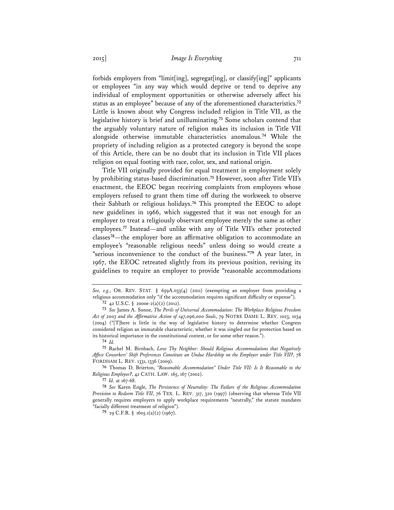forbids employers from "limit[ing], segregat[ing], or classify[ing]" applicants or employees "in any way which would deprive or tend to deprive any individual of employment opportunities or otherwise adversely affect his status as an employee" because of any of the aforementioned characteristics.**<sup>72</sup>** Little is known about why Congress included religion in Title VII, as the legislative history is brief and unilluminating.**<sup>73</sup>** Some scholars contend that the arguably voluntary nature of religion makes its inclusion in Title VII alongside otherwise immutable characteristics anomalous.**<sup>74</sup>** While the propriety of including religion as a protected category is beyond the scope of this Article, there can be no doubt that its inclusion in Title VII places religion on equal footing with race, color, sex, and national origin.

Title VII originally provided for equal treatment in employment solely by prohibiting status-based discrimination.**<sup>75</sup>** However, soon after Title VII's enactment, the EEOC began receiving complaints from employees whose employers refused to grant them time off during the workweek to observe their Sabbath or religious holidays.**<sup>76</sup>** This prompted the EEOC to adopt new guidelines in 1966, which suggested that it was not enough for an employer to treat a religiously observant employee merely the same as other employees.**<sup>77</sup>** Instead—and unlike with any of Title VII's other protected classes**<sup>78</sup>**—the employer bore an affirmative obligation to accommodate an employee's "reasonable religious needs" unless doing so would create a "serious inconvenience to the conduct of the business."**<sup>79</sup>** A year later, in 1967, the EEOC retreated slightly from its previous position, revising its guidelines to require an employer to provide "reasonable accommodations

*See, e.g.*, OR. REV. STAT. § 659A.033(4) (2011) (exempting an employer from providing a religious accommodation only "if the accommodation requires significant difficulty or expense").

**<sup>72</sup>** 42 U.S.C. § 2000e-2(a)(2) (2012).

**<sup>73</sup>** *See* James A. Sonne, *The Perils of Universal Accommodation: The Workplace Religious Freedom Act of 2003 and the Affirmative Action of 147,096,000 Souls*, 79 NOTRE DAME L. REV. 1023, 1034 (2004) ("[T]here is little in the way of legislative history to determine whether Congress considered religion an immutable characteristic, whether it was singled out for protection based on its historical importance in the constitutional context, or for some other reason.").

**<sup>74</sup>** *Id.*

**<sup>75</sup>** Rachel M. Birnbach, *Love Thy Neighbor: Should Religious Accommodations that Negatively Affect Coworkers' Shift Preferences Constitute an Undue Hardship on the Employer under Title VII?*, 78 FORDHAM L. REV. 1331, 1336 (2009).

**<sup>76</sup>** Thomas D. Brierton, *"Reasonable Accommodation" Under Title VII: Is It Reasonable to the Religious Employee?*, 42 CATH. LAW. 165, 167 (2002).

**<sup>77</sup>** *Id.* at 167-68.

**<sup>78</sup>** *See* Karen Engle, *The Persistence of Neutrality: The Failure of the Religious Accommodation Provision to Redeem Title VII*, 76 TEX. L. REV. 317, 320 (1997) (observing that whereas Title VII generally requires employers to apply workplace requirements "neutrally," the statute mandates "facially different treatment of religion").

**<sup>79</sup>** 29 C.F.R. § 1605.1(a)(2) (1967).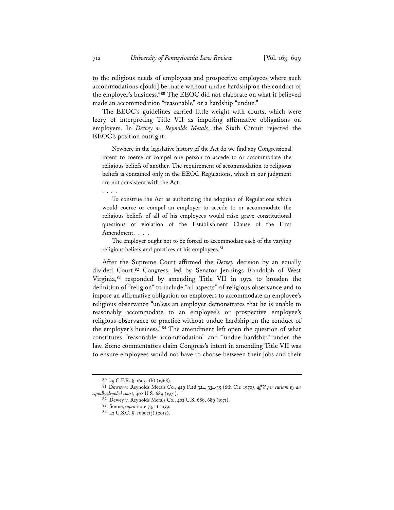to the religious needs of employees and prospective employees where such accommodations c[ould] be made without undue hardship on the conduct of the employer's business."**<sup>80</sup>** The EEOC did not elaborate on what it believed made an accommodation "reasonable" or a hardship "undue."

The EEOC's guidelines carried little weight with courts, which were leery of interpreting Title VII as imposing affirmative obligations on employers. In *Dewey v. Reynolds Metals*, the Sixth Circuit rejected the EEOC's position outright:

 Nowhere in the legislative history of the Act do we find any Congressional intent to coerce or compel one person to accede to or accommodate the religious beliefs of another. The requirement of accommodation to religious beliefs is contained only in the EEOC Regulations, which in our judgment are not consistent with the Act.

To construe the Act as authorizing the adoption of Regulations which would coerce or compel an employer to accede to or accommodate the religious beliefs of all of his employees would raise grave constitutional questions of violation of the Establishment Clause of the First Amendment. . . .

The employer ought not to be forced to accommodate each of the varying religious beliefs and practices of his employees.**<sup>81</sup>**

After the Supreme Court affirmed the *Dewey* decision by an equally divided Court,**<sup>82</sup>** Congress, led by Senator Jennings Randolph of West Virginia,**<sup>83</sup>** responded by amending Title VII in 1972 to broaden the definition of "religion" to include "all aspects" of religious observance and to impose an affirmative obligation on employers to accommodate an employee's religious observance "unless an employer demonstrates that he is unable to reasonably accommodate to an employee's or prospective employee's religious observance or practice without undue hardship on the conduct of the employer's business."**<sup>84</sup>** The amendment left open the question of what constitutes "reasonable accommodation" and "undue hardship" under the law. Some commentators claim Congress's intent in amending Title VII was to ensure employees would not have to choose between their jobs and their

. . . .

**<sup>80</sup>** 29 C.F.R. § 1605.1(b) (1968).

**<sup>81</sup>** Dewey v. Reynolds Metals Co., 429 F.2d 324, 334-35 (6th Cir. 1970), *aff 'd per curiam by an equally divided court*, 402 U.S. 689 (1971).

**<sup>82</sup>** Dewey v. Reynolds Metals Co., 402 U.S. 689, 689 (1971).

**<sup>83</sup>** Sonne, *supra* note 73, at 1039.

**<sup>84</sup>** 42 U.S.C. § 2000e(j) (2012).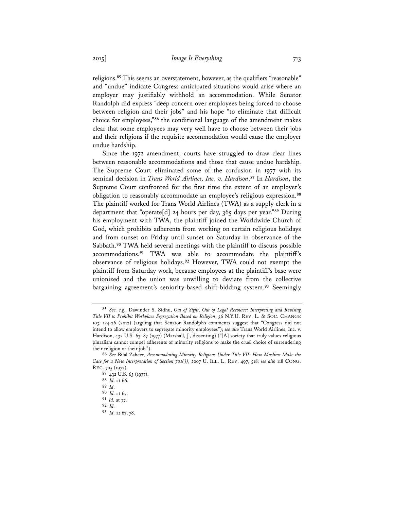religions.**<sup>85</sup>** This seems an overstatement, however, as the qualifiers "reasonable" and "undue" indicate Congress anticipated situations would arise where an employer may justifiably withhold an accommodation. While Senator Randolph did express "deep concern over employees being forced to choose between religion and their jobs" and his hope "to eliminate that difficult choice for employees,"**<sup>86</sup>** the conditional language of the amendment makes clear that some employees may very well have to choose between their jobs and their religions if the requisite accommodation would cause the employer undue hardship.

Since the 1972 amendment, courts have struggled to draw clear lines between reasonable accommodations and those that cause undue hardship. The Supreme Court eliminated some of the confusion in 1977 with its seminal decision in *Trans World Airlines, Inc. v. Hardison*. **<sup>87</sup>** In *Hardison*, the Supreme Court confronted for the first time the extent of an employer's obligation to reasonably accommodate an employee's religious expression.**<sup>88</sup>** The plaintiff worked for Trans World Airlines (TWA) as a supply clerk in a department that "operate[d] 24 hours per day, 365 days per year."**<sup>89</sup>** During his employment with TWA, the plaintiff joined the Worldwide Church of God, which prohibits adherents from working on certain religious holidays and from sunset on Friday until sunset on Saturday in observance of the Sabbath.**<sup>90</sup>** TWA held several meetings with the plaintiff to discuss possible accommodations.**<sup>91</sup>** TWA was able to accommodate the plaintiff's observance of religious holidays.**<sup>92</sup>** However, TWA could not exempt the plaintiff from Saturday work, because employees at the plaintiff's base were unionized and the union was unwilling to deviate from the collective bargaining agreement's seniority-based shift-bidding system.**<sup>93</sup>** Seemingly

**<sup>85</sup>** *See, e.g.*, Dawinder S. Sidhu, *Out of Sight, Out of Legal Recourse: Interpreting and Revising Title VII to Prohibit Workplace Segregation Based on Religion*, 36 N.Y.U. REV. L. & SOC. CHANGE 103, 124-26 (2012) (arguing that Senator Randolph's comments suggest that "Congress did not intend to allow employers to segregate minority employees"); *see also* Trans World Airlines, Inc. v. Hardison, 432 U.S. 63, 87 (1977) (Marshall, J., dissenting) ("[A] society that truly values religious pluralism cannot compel adherents of minority religions to make the cruel choice of surrendering their religion or their job.").

**<sup>86</sup>** *See* Bilal Zaheer, *Accommodating Minority Religions Under Title VII: How Muslims Make the Case for a New Interpretation of Section 701(j)*, 2007 U. ILL. L. REV. 497, 518*; see also* 118 CONG. REC. 705 (1972).

**<sup>87</sup>** 432 U.S. 63 (1977).

**<sup>88</sup>** *Id.* at 66.

**<sup>89</sup>** *Id.*

**<sup>90</sup>** *Id.* at 67.

**<sup>91</sup>** *Id.* at 77.

**<sup>92</sup>** *Id.*

**<sup>93</sup>** *Id.* at 67, 78.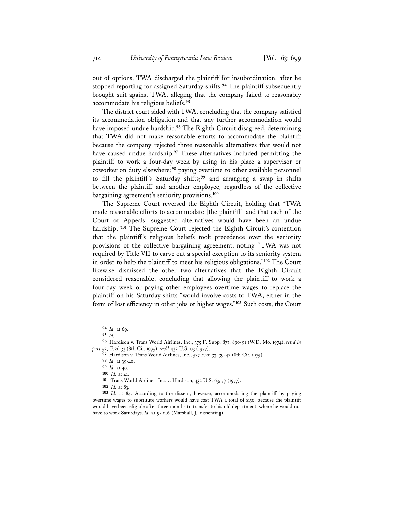out of options, TWA discharged the plaintiff for insubordination, after he stopped reporting for assigned Saturday shifts.**<sup>94</sup>** The plaintiff subsequently brought suit against TWA, alleging that the company failed to reasonably accommodate his religious beliefs.**<sup>95</sup>**

The district court sided with TWA, concluding that the company satisfied its accommodation obligation and that any further accommodation would have imposed undue hardship.**<sup>96</sup>** The Eighth Circuit disagreed, determining that TWA did not make reasonable efforts to accommodate the plaintiff because the company rejected three reasonable alternatives that would not have caused undue hardship.**<sup>97</sup>** These alternatives included permitting the plaintiff to work a four-day week by using in his place a supervisor or coworker on duty elsewhere;**<sup>98</sup>** paying overtime to other available personnel to fill the plaintiff's Saturday shifts;**<sup>99</sup>** and arranging a swap in shifts between the plaintiff and another employee, regardless of the collective bargaining agreement's seniority provisions.**<sup>100</sup>**

The Supreme Court reversed the Eighth Circuit, holding that "TWA made reasonable efforts to accommodate [the plaintiff] and that each of the Court of Appeals' suggested alternatives would have been an undue hardship."**<sup>101</sup>** The Supreme Court rejected the Eighth Circuit's contention that the plaintiff's religious beliefs took precedence over the seniority provisions of the collective bargaining agreement, noting "TWA was not required by Title VII to carve out a special exception to its seniority system in order to help the plaintiff to meet his religious obligations."**<sup>102</sup>** The Court likewise dismissed the other two alternatives that the Eighth Circuit considered reasonable, concluding that allowing the plaintiff to work a four-day week or paying other employees overtime wages to replace the plaintiff on his Saturday shifts "would involve costs to TWA, either in the form of lost efficiency in other jobs or higher wages."**<sup>103</sup>** Such costs, the Court

**<sup>94</sup>** *Id.* at 69.

**<sup>95</sup>** *Id.* 

**<sup>96</sup>** Hardison v. Trans World Airlines, Inc., 375 F. Supp. 877, 890-91 (W.D. Mo. 1974), *rev'd in part* 527 F.2d 33 (8th Cir. 1975), *rev'd* 432 U.S. 63 (1977).

**<sup>97</sup>** Hardison v. Trans World Airlines, Inc., 527 F.2d 33, 39-42 (8th Cir. 1975).

**<sup>98</sup>** *Id.* at 39-40.

**<sup>99</sup>** *Id.* at 40.

**<sup>100</sup>** *Id.* at 41.

**<sup>101</sup>** Trans World Airlines, Inc. v. Hardison, 432 U.S. 63, 77 (1977).

**<sup>102</sup>** *Id.* at 83.

**<sup>103</sup>** *Id.* at 84. According to the dissent, however, accommodating the plaintiff by paying overtime wages to substitute workers would have cost TWA a total of \$150, because the plaintiff would have been eligible after three months to transfer to his old department, where he would not have to work Saturdays. *Id.* at 92 n.6 (Marshall, J., dissenting).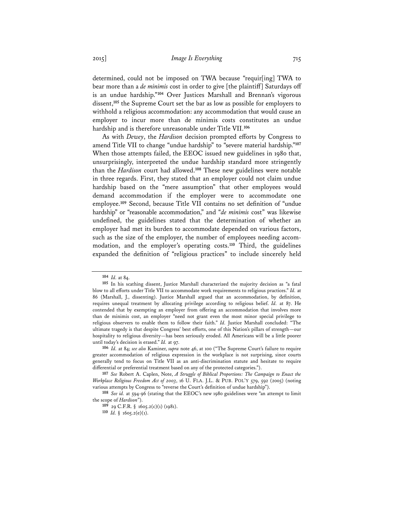determined, could not be imposed on TWA because "requir[ing] TWA to bear more than a *de minimis* cost in order to give [the plaintiff] Saturdays off is an undue hardship."**<sup>104</sup>** Over Justices Marshall and Brennan's vigorous dissent,**<sup>105</sup>** the Supreme Court set the bar as low as possible for employers to withhold a religious accommodation: any accommodation that would cause an employer to incur more than de minimis costs constitutes an undue hardship and is therefore unreasonable under Title VII.**<sup>106</sup>**

As with *Dewey*, the *Hardison* decision prompted efforts by Congress to amend Title VII to change "undue hardship" to "severe material hardship."**<sup>107</sup>** When those attempts failed, the EEOC issued new guidelines in 1980 that, unsurprisingly, interpreted the undue hardship standard more stringently than the *Hardison* court had allowed.**<sup>108</sup>** These new guidelines were notable in three regards. First, they stated that an employer could not claim undue hardship based on the "mere assumption" that other employees would demand accommodation if the employer were to accommodate one employee.**<sup>109</sup>** Second, because Title VII contains no set definition of "undue hardship" or "reasonable accommodation," and "*de minimis* cost" was likewise undefined, the guidelines stated that the determination of whether an employer had met its burden to accommodate depended on various factors, such as the size of the employer, the number of employees needing accommodation, and the employer's operating costs.**<sup>110</sup>** Third, the guidelines expanded the definition of "religious practices" to include sincerely held

**<sup>104</sup>** *Id.* at 84.

**<sup>105</sup>** In his scathing dissent, Justice Marshall characterized the majority decision as "a fatal blow to all efforts under Title VII to accommodate work requirements to religious practices." *Id.* at 86 (Marshall, J., dissenting). Justice Marshall argued that an accommodation, by definition, requires unequal treatment by allocating privilege according to religious belief. *Id.* at 87. He contended that by exempting an employer from offering an accommodation that involves more than de minimis cost, an employer "need not grant even the most minor special privilege to religious observers to enable them to follow their faith." *Id.* Justice Marshall concluded: "The ultimate tragedy is that despite Congress' best efforts, one of this Nation's pillars of strength—our hospitality to religious diversity—has been seriously eroded. All Americans will be a little poorer until today's decision is erased." *Id.* at 97.

**<sup>106</sup>** *Id.* at 84; *see also* Kaminer, *supra* note 46, at 100 ("The Supreme Court's failure to require greater accommodation of religious expression in the workplace is not surprising, since courts generally tend to focus on Title VII as an anti-discrimination statute and hesitate to require differential or preferential treatment based on any of the protected categories.").

**<sup>107</sup>** *See* Robert A. Caplen, Note, *A Struggle of Biblical Proportions: The Campaign to Enact the Workplace Religious Freedom Act of 2003*, 16 U. FLA. J.L. & PUB. POL'Y 579, 592 (2005) (noting various attempts by Congress to "reverse the Court's definition of undue hardship").

**<sup>108</sup>** *See id.* at 594-96 (stating that the EEOC's new 1980 guidelines were "an attempt to limit the scope of *Hardison*").

**<sup>109</sup>** 29 C.F.R. § 1605.2(c)(1) (1981).

**<sup>110</sup>** *Id.* § 1605.2(e)(1).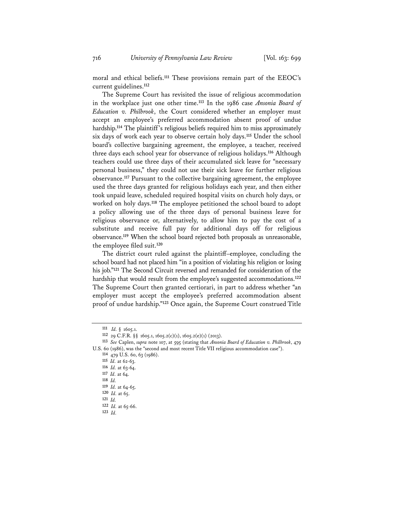moral and ethical beliefs.**<sup>111</sup>** These provisions remain part of the EEOC's current guidelines.**<sup>112</sup>**

The Supreme Court has revisited the issue of religious accommodation in the workplace just one other time.**<sup>113</sup>** In the 1986 case *Ansonia Board of Education v. Philbrook*, the Court considered whether an employer must accept an employee's preferred accommodation absent proof of undue hardship.**<sup>114</sup>** The plaintiff's religious beliefs required him to miss approximately six days of work each year to observe certain holy days.**<sup>115</sup>** Under the school board's collective bargaining agreement, the employee, a teacher, received three days each school year for observance of religious holidays.**<sup>116</sup>** Although teachers could use three days of their accumulated sick leave for "necessary personal business," they could not use their sick leave for further religious observance.**<sup>117</sup>** Pursuant to the collective bargaining agreement, the employee used the three days granted for religious holidays each year, and then either took unpaid leave, scheduled required hospital visits on church holy days, or worked on holy days.**<sup>118</sup>** The employee petitioned the school board to adopt a policy allowing use of the three days of personal business leave for religious observance or, alternatively, to allow him to pay the cost of a substitute and receive full pay for additional days off for religious observance.**<sup>119</sup>** When the school board rejected both proposals as unreasonable, the employee filed suit.**<sup>120</sup>**

The district court ruled against the plaintiff–employee, concluding the school board had not placed him "in a position of violating his religion or losing his job."**<sup>121</sup>** The Second Circuit reversed and remanded for consideration of the hardship that would result from the employee's suggested accommodations.**<sup>122</sup>** The Supreme Court then granted certiorari, in part to address whether "an employer must accept the employee's preferred accommodation absent proof of undue hardship."**<sup>123</sup>** Once again, the Supreme Court construed Title

**<sup>111</sup>** *Id.* § 1605.1.

**<sup>112</sup>** 29 C.F.R. §§ 1605.1, 1605.2(c)(1), 1605.2(e)(1) (2013).

**<sup>113</sup>** *See* Caplen, *supra* note 107, at 595 (stating that *Ansonia Board of Education v. Philbrook*, 479 U.S. 60 (1986), was the "second and most recent Title VII religious accommodation case"). **114** 479 U.S. 60, 63 (1986).

**<sup>115</sup>** *Id.* at 62-63.

**<sup>116</sup>** *Id.* at 63-64.

**<sup>117</sup>** *Id.* at 64.

**<sup>118</sup>** *Id.* 

**<sup>119</sup>** *Id.* at 64-65.

**<sup>120</sup>** *Id.* at 65.

**<sup>121</sup>** *Id.*

**<sup>122</sup>** *Id.* at 65-66.

**<sup>123</sup>** *Id.*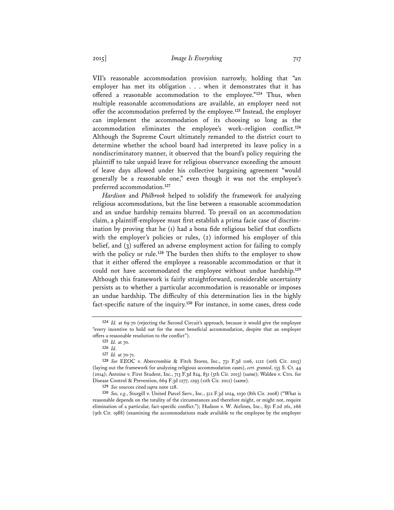VII's reasonable accommodation provision narrowly, holding that "an employer has met its obligation . . . when it demonstrates that it has offered a reasonable accommodation to the employee."**<sup>124</sup>** Thus, when multiple reasonable accommodations are available, an employer need not offer the accommodation preferred by the employee.**<sup>125</sup>** Instead, the employer can implement the accommodation of its choosing so long as the accommodation eliminates the employee's work–religion conflict.**<sup>126</sup>** Although the Supreme Court ultimately remanded to the district court to determine whether the school board had interpreted its leave policy in a nondiscriminatory manner, it observed that the board's policy requiring the plaintiff to take unpaid leave for religious observance exceeding the amount of leave days allowed under his collective bargaining agreement "would generally be a reasonable one," even though it was not the employee's preferred accommodation.**<sup>127</sup>**

*Hardison* and *Philbrook* helped to solidify the framework for analyzing religious accommodations, but the line between a reasonable accommodation and an undue hardship remains blurred. To prevail on an accommodation claim, a plaintiff-employee must first establish a prima facie case of discrimination by proving that he (1) had a bona fide religious belief that conflicts with the employer's policies or rules, (2) informed his employer of this belief, and (3) suffered an adverse employment action for failing to comply with the policy or rule.<sup>128</sup> The burden then shifts to the employer to show that it either offered the employee a reasonable accommodation or that it could not have accommodated the employee without undue hardship.**<sup>129</sup>** Although this framework is fairly straightforward, considerable uncertainty persists as to whether a particular accommodation is reasonable or imposes an undue hardship. The difficulty of this determination lies in the highly fact-specific nature of the inquiry.**<sup>130</sup>** For instance, in some cases, dress code

**<sup>124</sup>** *Id.* at 69-70 (rejecting the Second Circuit's approach, because it would give the employee "every incentive to hold out for the most beneficial accommodation, despite that an employer offers a reasonable resolution to the conflict").

**<sup>125</sup>** *Id.* at 70.

**<sup>126</sup>** *Id.*

**<sup>127</sup>** *Id.* at 70-71.

**<sup>128</sup>** *See* EEOC v. Abercrombie & Fitch Stores, Inc., 731 F.3d 1106, 1122 (10th Cir. 2013) (laying out the framework for analyzing religious accommodation cases), *cert. granted*, 135 S. Ct. 44 (2014); Antoine v. First Student, Inc., 713 F.3d 824, 831 (5th Cir. 2013) (same); Walden v. Ctrs. for Disease Control & Prevention, 669 F.3d 1277, 1293 (11th Cir. 2012) (same).

**<sup>129</sup>** *See* sources cited *supra* note 128.

**<sup>130</sup>** *See, e.g.*, Sturgill v. United Parcel Serv., Inc., 512 F.3d 1024, 1030 (8th Cir. 2008) ("What is reasonable depends on the totality of the circumstances and therefore might, or might not, require elimination of a particular, fact-specific conflict."); Hudson v. W. Airlines, Inc., 851 F.2d 261, 266 (9th Cir. 1988) (examining the accommodations made available to the employee by the employer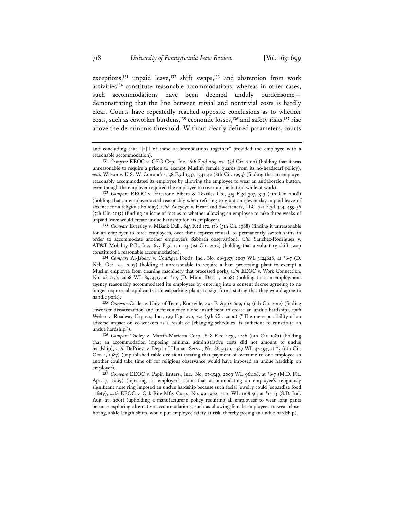exceptions,**<sup>131</sup>** unpaid leave,**<sup>132</sup>** shift swaps,**<sup>133</sup>** and abstention from work activities**<sup>134</sup>** constitute reasonable accommodations, whereas in other cases, such accommodations have been deemed unduly burdensome demonstrating that the line between trivial and nontrivial costs is hardly clear. Courts have repeatedly reached opposite conclusions as to whether costs, such as coworker burdens,**<sup>135</sup>** economic losses,**<sup>136</sup>** and safety risks,**<sup>137</sup>** rise above the de minimis threshold. Without clearly defined parameters, courts

**<sup>132</sup>** *Compare* EEOC v. Firestone Fibers & Textiles Co., 515 F.3d 307, 319 (4th Cir. 2008) (holding that an employer acted reasonably when refusing to grant an eleven-day unpaid leave of absence for a religious holiday), *with* Adeyeye v. Heartland Sweeteners, LLC, 721 F.3d 444, 455-56 (7th Cir. 2013) (finding an issue of fact as to whether allowing an employee to take three weeks of unpaid leave would create undue hardship for his employer).

**<sup>133</sup>** *Compare* Eversley v. MBank Dall., 843 F.2d 172, 176 (5th Cir. 1988) (finding it unreasonable for an employer to force employees, over their express refusal, to permanently switch shifts in order to accommodate another employee's Sabbath observation), *with* Sanchez-Rodriguez v. AT&T Mobility P.R., Inc., 673 F.3d 1, 12-13 (1st Cir. 2012) (holding that a voluntary shift swap constituted a reasonable accommodation).

**<sup>134</sup>** *Compare* Al-Jabery v. ConAgra Foods, Inc., No. 06-3157, 2007 WL 3124628, at \*6-7 (D. Neb. Oct. 24, 2007) (holding it unreasonable to require a ham processing plant to exempt a Muslim employee from cleaning machinery that processed pork), *with* EEOC v. Work Connection, No. 08-5137, 2008 WL 8954713, at \*1-5 (D. Minn. Dec. 1, 2008) (holding that an employment agency reasonably accommodated its employees by entering into a consent decree agreeing to no longer require job applicants at meatpacking plants to sign forms stating that they would agree to handle pork).

**<sup>135</sup>** *Compare* Crider v. Univ. of Tenn., Knoxville, 492 F. App'x 609, 614 (6th Cir. 2012) (finding coworker dissatisfaction and inconvenience alone insufficient to create an undue hardship), *with* Weber v. Roadway Express, Inc., 199 F.3d 270, 274 (5th Cir. 2000) ("The mere possibility of an adverse impact on co-workers as a result of [changing schedules] is sufficient to constitute an undue hardship.").

**<sup>136</sup>** *Compare* Tooley v. Martin-Marietta Corp., 648 F.2d 1239, 1246 (9th Cir. 1981) (holding that an accommodation imposing minimal administrative costs did not amount to undue hardship), *with* DePriest v. Dep't of Human Servs., No. 86-5920, 1987 WL 44454, at  $*$ 3 (6th Cir. Oct. 1, 1987) (unpublished table decision) (stating that payment of overtime to one employee so another could take time off for religious observance would have imposed an undue hardship on employer).

**<sup>137</sup>** *Compare* EEOC v. Papin Enters., Inc., No. 07-1549, 2009 WL 961108, at \*6-7 (M.D. Fla. Apr. 7, 2009) (rejecting an employer's claim that accommodating an employee's religiously significant nose ring imposed an undue hardship because such facial jewelry could jeopardize food safety), *with* EEOC v. Oak-Rite Mfg. Corp., No. 99-1962, 2001 WL 1168156, at \*12-13 (S.D. Ind. Aug. 27, 2001) (upholding a manufacturer's policy requiring all employees to wear long pants because exploring alternative accommodations, such as allowing female employees to wear closefitting, ankle-length skirts, would put employee safety at risk, thereby posing an undue hardship).

and concluding that "[a]ll of these accommodations together" provided the employee with a reasonable accommodation).

**<sup>131</sup>** *Compare* EEOC v. GEO Grp., Inc., 616 F.3d 265, 274 (3d Cir. 2010) (holding that it was unreasonable to require a prison to exempt Muslim female guards from its no-headscarf policy), with Wilson v. U.S. W. Commc'ns, 58 F.3d 1337, 1341-42 (8th Cir. 1995) (finding that an employer reasonably accommodated its employee by allowing the employee to wear an antiabortion button, even though the employer required the employee to cover up the button while at work).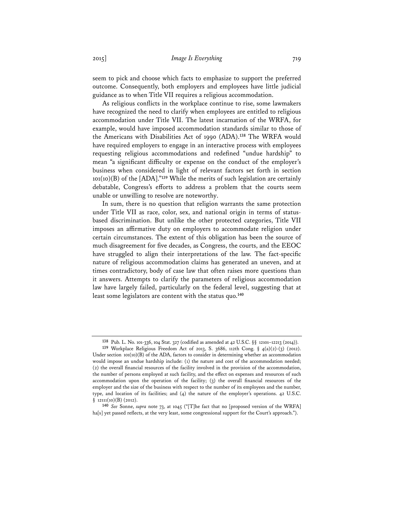seem to pick and choose which facts to emphasize to support the preferred outcome. Consequently, both employers and employees have little judicial guidance as to when Title VII requires a religious accommodation.

As religious conflicts in the workplace continue to rise, some lawmakers have recognized the need to clarify when employees are entitled to religious accommodation under Title VII. The latest incarnation of the WRFA, for example, would have imposed accommodation standards similar to those of the Americans with Disabilities Act of 1990 (ADA).**<sup>138</sup>** The WRFA would have required employers to engage in an interactive process with employees requesting religious accommodations and redefined "undue hardship" to mean "a significant difficulty or expense on the conduct of the employer's business when considered in light of relevant factors set forth in section 101(10)(B) of the [ADA]."**<sup>139</sup>** While the merits of such legislation are certainly debatable, Congress's efforts to address a problem that the courts seem unable or unwilling to resolve are noteworthy.

In sum, there is no question that religion warrants the same protection under Title VII as race, color, sex, and national origin in terms of statusbased discrimination. But unlike the other protected categories, Title VII imposes an affirmative duty on employers to accommodate religion under certain circumstances. The extent of this obligation has been the source of much disagreement for five decades, as Congress, the courts, and the EEOC have struggled to align their interpretations of the law. The fact-specific nature of religious accommodation claims has generated an uneven, and at times contradictory, body of case law that often raises more questions than it answers. Attempts to clarify the parameters of religious accommodation law have largely failed, particularly on the federal level, suggesting that at least some legislators are content with the status quo.**<sup>140</sup>**

**<sup>138</sup>** Pub. L. No. 101-336, 104 Stat. 327 (codified as amended at 42 U.S.C. §§ 12101–12213 (2014)).

**<sup>139</sup>** Workplace Religious Freedom Act of 2013, S. 3686, 112th Cong. § 4(a)(2)-(3) (2012). Under section  $101(10)(B)$  of the ADA, factors to consider in determining whether an accommodation would impose an undue hardship include: (1) the nature and cost of the accommodation needed; (2) the overall financial resources of the facility involved in the provision of the accommodation, the number of persons employed at such facility, and the effect on expenses and resources of such accommodation upon the operation of the facility;  $(3)$  the overall financial resources of the employer and the size of the business with respect to the number of its employees and the number, type, and location of its facilities; and (4) the nature of the employer's operations. 42 U.S.C.  $§$  12111(10)(B) (2012).

**<sup>140</sup>** *See* Sonne, *supra* note 73, at 1045 ("[T]he fact that no [proposed version of the WRFA] ha[s] yet passed reflects, at the very least, some congressional support for the Court's approach.").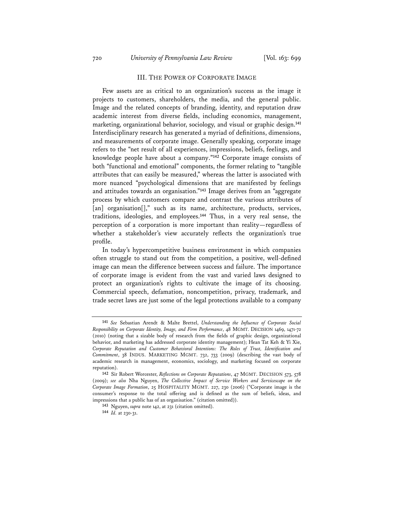## III. THE POWER OF CORPORATE IMAGE

Few assets are as critical to an organization's success as the image it projects to customers, shareholders, the media, and the general public. Image and the related concepts of branding, identity, and reputation draw academic interest from diverse fields, including economics, management, marketing, organizational behavior, sociology, and visual or graphic design.**<sup>141</sup>** Interdisciplinary research has generated a myriad of definitions, dimensions, and measurements of corporate image. Generally speaking, corporate image refers to the "net result of all experiences, impressions, beliefs, feelings, and knowledge people have about a company."**<sup>142</sup>** Corporate image consists of both "functional and emotional" components, the former relating to "tangible attributes that can easily be measured," whereas the latter is associated with more nuanced "psychological dimensions that are manifested by feelings and attitudes towards an organisation."**<sup>143</sup>** Image derives from an "aggregate process by which customers compare and contrast the various attributes of [an] organisation[]," such as its name, architecture, products, services, traditions, ideologies, and employees.**<sup>144</sup>** Thus, in a very real sense, the perception of a corporation is more important than reality—regardless of whether a stakeholder's view accurately reflects the organization's true profile.

In today's hypercompetitive business environment in which companies often struggle to stand out from the competition, a positive, well-defined image can mean the difference between success and failure. The importance of corporate image is evident from the vast and varied laws designed to protect an organization's rights to cultivate the image of its choosing. Commercial speech, defamation, noncompetition, privacy, trademark, and trade secret laws are just some of the legal protections available to a company

**<sup>141</sup>** *See* Sebastian Arendt & Malte Brettel, *Understanding the Influence of Corporate Social Responsibility on Corporate Identity, Image, and Firm Performance*, 48 MGMT. DECISION 1469, 1471-72 (2010) (noting that a sizable body of research from the fields of graphic design, organizational behavior, and marketing has addressed corporate identity management); Hean Tat Keh & Yi Xie, *Corporate Reputation and Customer Behavioral Intentions: The Roles of Trust, Identification and Commitment*, 38 INDUS. MARKETING MGMT. 732, 733 (2009) (describing the vast body of academic research in management, economics, sociology, and marketing focused on corporate reputation).

**<sup>142</sup>** Sir Robert Worcester, *Reflections on Corporate Reputations*, 47 MGMT. DECISION 573, 578 (2009); *see also* Nha Nguyen, *The Collective Impact of Service Workers and Servicescape on the Corporate Image Formation*, 25 HOSPITALITY MGMT. 227, 230 (2006) ("Corporate image is the consumer's response to the total offering and is defined as the sum of beliefs, ideas, and impressions that a public has of an organisation." (citation omitted)).

**<sup>143</sup>** Nguyen, *supra* note 142, at 231 (citation omitted). **<sup>144</sup>** *Id.* at 230-31.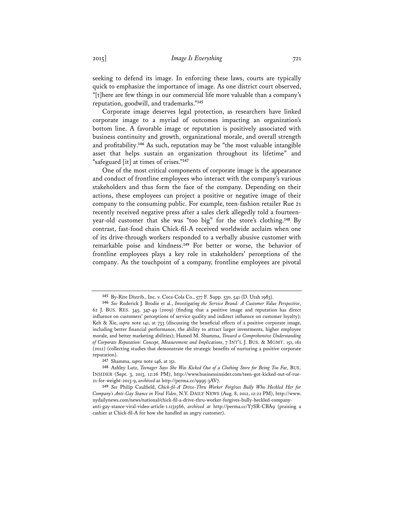seeking to defend its image. In enforcing these laws, courts are typically quick to emphasize the importance of image. As one district court observed, "[t]here are few things in our commercial life more valuable than a company's reputation, goodwill, and trademarks."**<sup>145</sup>**

Corporate image deserves legal protection, as researchers have linked corporate image to a myriad of outcomes impacting an organization's bottom line. A favorable image or reputation is positively associated with business continuity and growth, organizational morale, and overall strength and profitability.**<sup>146</sup>** As such, reputation may be "the most valuable intangible asset that helps sustain an organization throughout its lifetime" and "safeguard [it] at times of crises."**<sup>147</sup>**

One of the most critical components of corporate image is the appearance and conduct of frontline employees who interact with the company's various stakeholders and thus form the face of the company. Depending on their actions, these employees can project a positive or negative image of their company to the consuming public. For example, teen-fashion retailer Rue 21 recently received negative press after a sales clerk allegedly told a fourteenyear-old customer that she was "too big" for the store's clothing.**<sup>148</sup>** By contrast, fast-food chain Chick-fil-A received worldwide acclaim when one of its drive-through workers responded to a verbally abusive customer with remarkable poise and kindness.**<sup>149</sup>** For better or worse, the behavior of frontline employees plays a key role in stakeholders' perceptions of the company. As the touchpoint of a company, frontline employees are pivotal

**<sup>147</sup>** Shamma, *supra* note 146, at 151.

**<sup>145</sup>** By-Rite Distrib., Inc. v. Coca-Cola Co., 577 F. Supp. 530, 541 (D. Utah 1983).

**<sup>146</sup>** *See* Roderick J. Brodie et al., *Investigating the Service Brand: A Customer Value Perspective*, 62 J. BUS. RES. 345, 347-49 (2009) (finding that a positive image and reputation has direct influence on customers' perceptions of service quality and indirect influence on customer loyalty); Keh & Xie, *supra* note 141, at 733 (discussing the beneficial effects of a positive corporate image, including better financial performance, the ability to attract larger investments, higher employee morale, and better marketing abilities); Hamed M. Shamma, *Toward a Comprehensive Understanding of Corporate Reputation: Concept, Measurement and Implications*, 7 INT'L J. BUS. & MGMT. 151, 161 (2012) (collecting studies that demonstrate the strategic benefits of nurturing a positive corporate reputation).

**<sup>148</sup>** Ashley Lutz, *Teenager Says She Was Kicked Out of a Clothing Store for Being Too Fat*, BUS. INSIDER (Sept. 3, 2013, 12:26 PM), http://www.businessinsider.com/teen-got-kicked-out-of-rue-21-for-weight-2013-9, *archived at* http://perma.cc/9995-3AV7.

**<sup>149</sup>** *See* Philip Caulfield, *Chick-fil-A Drive-Thru Worker Forgives Bully Who Heckled Her for Company's Anti-Gay Stance in Viral Video*, N.Y. DAILY NEWS (Aug. 8, 2012, 12:22 PM), http://www. nydailynews.com/news/national/chick-fil-a-drive-thru-worker-forgives-bully-heckled-companyanti-gay-stance-viral-video-article-1.1131566, *archived at* http://perma.cc/Y7SR-CBA9 (praising a cashier at Chick-fil-A for how she handled an angry customer).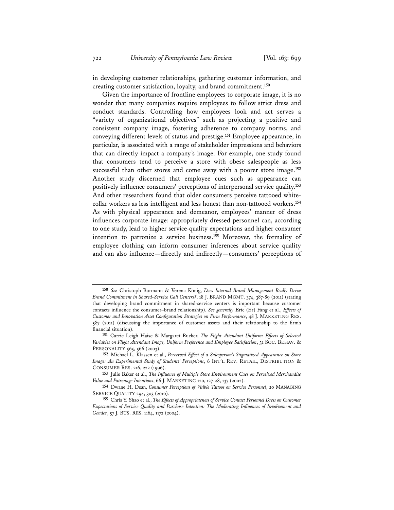in developing customer relationships, gathering customer information, and creating customer satisfaction, loyalty, and brand commitment.**<sup>150</sup>**

Given the importance of frontline employees to corporate image, it is no wonder that many companies require employees to follow strict dress and conduct standards. Controlling how employees look and act serves a "variety of organizational objectives" such as projecting a positive and consistent company image, fostering adherence to company norms, and conveying different levels of status and prestige.**<sup>151</sup>** Employee appearance, in particular, is associated with a range of stakeholder impressions and behaviors that can directly impact a company's image. For example, one study found that consumers tend to perceive a store with obese salespeople as less successful than other stores and come away with a poorer store image.**<sup>152</sup>** Another study discerned that employee cues such as appearance can positively influence consumers' perceptions of interpersonal service quality.**<sup>153</sup>** And other researchers found that older consumers perceive tattooed whitecollar workers as less intelligent and less honest than non-tattooed workers.**<sup>154</sup>** As with physical appearance and demeanor, employees' manner of dress influences corporate image: appropriately dressed personnel can, according to one study, lead to higher service-quality expectations and higher consumer intention to patronize a service business.**<sup>155</sup>** Moreover, the formality of employee clothing can inform consumer inferences about service quality and can also influence—directly and indirectly—consumers' perceptions of

**<sup>150</sup>** *See* Christoph Burmann & Verena König, *Does Internal Brand Management Really Drive Brand Commitment in Shared-Service Call Centers?*, 18 J. BRAND MGMT. 374, 387-89 (2011) (stating that developing brand commitment in shared-service centers is important because customer contacts influence the consumer–brand relationship). *See generally* Eric (Er) Fang et al., *Effects of Customer and Innovation Asset Configuration Strategies on Firm Performance*, 48 J. MARKETING RES. 587 (2011) (discussing the importance of customer assets and their relationship to the firm's financial situation).

**<sup>151</sup>** Carrie Leigh Haise & Margaret Rucker, *The Flight Attendant Uniform: Effects of Selected Variables on Flight Attendant Image, Uniform Preference and Employee Satisfaction*, 31 SOC. BEHAV. & PERSONALITY 565, 566 (2003).

**<sup>152</sup>** Michael L. Klassen et al., *Perceived Effect of a Salesperson's Stigmatized Appearance on Store Image: An Experimental Study of Students' Perceptions*, 6 INT'L REV. RETAIL, DISTRIBUTION & CONSUMER RES. 216, 222 (1996).

**<sup>153</sup>** Julie Baker et al., *The Influence of Multiple Store Environment Cues on Perceived Merchandise Value and Patronage Intentions*, 66 J. MARKETING 120, 127-28, 137 (2002).

**<sup>154</sup>** Dwane H. Dean, *Consumer Perceptions of Visible Tattoos on Service Personnel*, 20 MANAGING SERVICE QUALITY 294, 303 (2010).

**<sup>155</sup>** Chris Y. Shao et al., *The Effects of Appropriateness of Service Contact Personnel Dress on Customer Expectations of Service Quality and Purchase Intention: The Moderating Influences of Involvement and Gender*, 57 J. BUS. RES. 1164, 1172 (2004).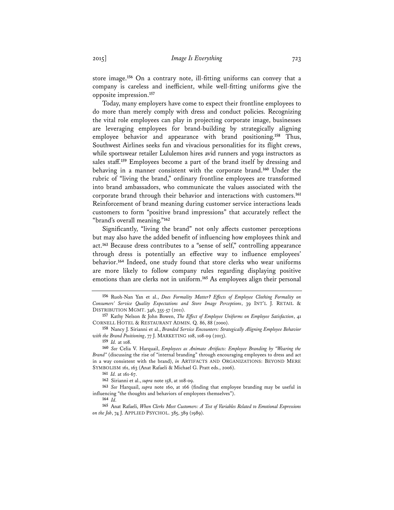store image.**<sup>156</sup>** On a contrary note, ill-fitting uniforms can convey that a company is careless and inefficient, while well-fitting uniforms give the opposite impression.**<sup>157</sup>**

Today, many employers have come to expect their frontline employees to do more than merely comply with dress and conduct policies. Recognizing the vital role employees can play in projecting corporate image, businesses are leveraging employees for brand-building by strategically aligning employee behavior and appearance with brand positioning.**<sup>158</sup>** Thus, Southwest Airlines seeks fun and vivacious personalities for its flight crews, while sportswear retailer Lululemon hires avid runners and yoga instructors as sales staff.**<sup>159</sup>** Employees become a part of the brand itself by dressing and behaving in a manner consistent with the corporate brand.**<sup>160</sup>** Under the rubric of "living the brand," ordinary frontline employees are transformed into brand ambassadors, who communicate the values associated with the corporate brand through their behavior and interactions with customers.**<sup>161</sup>** Reinforcement of brand meaning during customer service interactions leads customers to form "positive brand impressions" that accurately reflect the "brand's overall meaning."**<sup>162</sup>**

Significantly, "living the brand" not only affects customer perceptions but may also have the added benefit of influencing how employees think and act.**<sup>163</sup>** Because dress contributes to a "sense of self," controlling appearance through dress is potentially an effective way to influence employees' behavior.**<sup>164</sup>** Indeed, one study found that store clerks who wear uniforms are more likely to follow company rules regarding displaying positive emotions than are clerks not in uniform.**<sup>165</sup>** As employees align their personal

**<sup>156</sup>** Ruoh-Nan Yan et al., *Does Formality Matter? Effects of Employee Clothing Formality on Consumers' Service Quality Expectations and Store Image Perceptions*, 39 INT'L J. RETAIL & DISTRIBUTION MGMT. 346, 355-57 (2011).

**<sup>157</sup>** Kathy Nelson & John Bowen, *The Effect of Employee Uniforms on Employee Satisfaction*, 41 CORNELL HOTEL & RESTAURANT ADMIN. Q. 86, 88 (2000).

**<sup>158</sup>** Nancy J. Sirianni et al., *Branded Service Encounters: Strategically Aligning Employee Behavior with the Brand Positioning*, 77 J. MARKETING 108, 108-09 (2013).

**<sup>159</sup>** *Id.* at 108.

**<sup>160</sup>** *See* Celia V. Harquail, *Employees as Animate Artifacts: Employee Branding by "Wearing the Brand"* (discussing the rise of "internal branding" through encouraging employees to dress and act in a way consistent with the brand), *in* ARTIFACTS AND ORGANIZATIONS: BEYOND MERE SYMBOLISM 161, 163 (Anat Rafaeli & Michael G. Pratt eds., 2006).

**<sup>161</sup>** *Id.* at 161-67.

**<sup>162</sup>** Sirianni et al., *supra* note 158, at 108-09.

**<sup>163</sup>** *See* Harquail, *supra* note 160, at 166 (finding that employee branding may be useful in influencing "the thoughts and behaviors of employees themselves").

<sup>164</sup>  $Id$ .

**<sup>165</sup>** Anat Rafaeli, *When Clerks Meet Customers: A Test of Variables Related to Emotional Expressions on the Job*, 74 J. APPLIED PSYCHOL. 385, 389 (1989).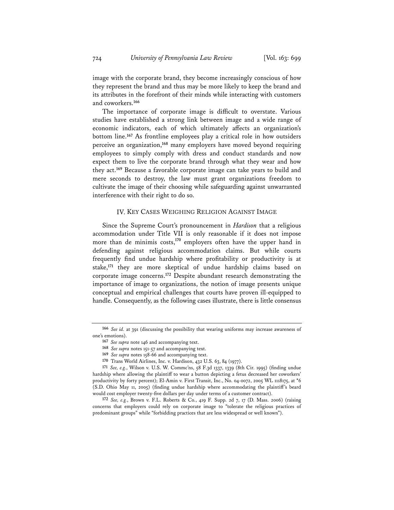image with the corporate brand, they become increasingly conscious of how they represent the brand and thus may be more likely to keep the brand and its attributes in the forefront of their minds while interacting with customers and coworkers.**<sup>166</sup>**

The importance of corporate image is difficult to overstate. Various studies have established a strong link between image and a wide range of economic indicators, each of which ultimately affects an organization's bottom line.**<sup>167</sup>** As frontline employees play a critical role in how outsiders perceive an organization,**<sup>168</sup>** many employers have moved beyond requiring employees to simply comply with dress and conduct standards and now expect them to live the corporate brand through what they wear and how they act.**<sup>169</sup>** Because a favorable corporate image can take years to build and mere seconds to destroy, the law must grant organizations freedom to cultivate the image of their choosing while safeguarding against unwarranted interference with their right to do so.

#### IV. KEY CASES WEIGHING RELIGION AGAINST IMAGE

Since the Supreme Court's pronouncement in *Hardison* that a religious accommodation under Title VII is only reasonable if it does not impose more than de minimis costs,**<sup>170</sup>** employers often have the upper hand in defending against religious accommodation claims. But while courts frequently find undue hardship where profitability or productivity is at stake,**<sup>171</sup>** they are more skeptical of undue hardship claims based on corporate image concerns.**<sup>172</sup>** Despite abundant research demonstrating the importance of image to organizations, the notion of image presents unique conceptual and empirical challenges that courts have proven ill-equipped to handle. Consequently, as the following cases illustrate, there is little consensus

**<sup>166</sup>** *See id.* at 391 (discussing the possibility that wearing uniforms may increase awareness of one's emotions).

**<sup>167</sup>** *See supra* note 146 and accompanying text.

**<sup>168</sup>** *See supra* notes 151-57 and accompanying text.

**<sup>169</sup>** *See supra* notes 158-66 and accompanying text.

**<sup>170</sup>** Trans World Airlines, Inc. v. Hardison, 432 U.S. 63, 84 (1977).

**<sup>171</sup>** *See, e.g.*, Wilson v. U.S. W. Commc'ns, 58 F.3d 1337, 1339 (8th Cir. 1995) (finding undue hardship where allowing the plaintiff to wear a button depicting a fetus decreased her coworkers' productivity by forty percent); El-Amin v. First Transit, Inc., No. 04-0072, 2005 WL 1118175, at \*6 (S.D. Ohio May 11, 2005) (finding undue hardship where accommodating the plaintiff's beard would cost employer twenty-five dollars per day under terms of a customer contract).

**<sup>172</sup>** *See, e.g.*, Brown v. F.L. Roberts & Co., 419 F. Supp. 2d 7, 17 (D. Mass. 2006) (raising concerns that employers could rely on corporate image to "tolerate the religious practices of predominant groups" while "forbidding practices that are less widespread or well known").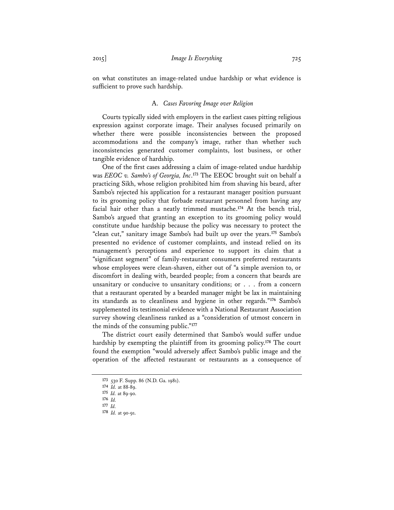on what constitutes an image-related undue hardship or what evidence is sufficient to prove such hardship.

### A. *Cases Favoring Image over Religion*

Courts typically sided with employers in the earliest cases pitting religious expression against corporate image. Their analyses focused primarily on whether there were possible inconsistencies between the proposed accommodations and the company's image, rather than whether such inconsistencies generated customer complaints, lost business, or other tangible evidence of hardship.

One of the first cases addressing a claim of image-related undue hardship was *EEOC v. Sambo's of Georgia, Inc*. **<sup>173</sup>** The EEOC brought suit on behalf a practicing Sikh, whose religion prohibited him from shaving his beard, after Sambo's rejected his application for a restaurant manager position pursuant to its grooming policy that forbade restaurant personnel from having any facial hair other than a neatly trimmed mustache.**<sup>174</sup>** At the bench trial, Sambo's argued that granting an exception to its grooming policy would constitute undue hardship because the policy was necessary to protect the "clean cut," sanitary image Sambo's had built up over the years.**<sup>175</sup>** Sambo's presented no evidence of customer complaints, and instead relied on its management's perceptions and experience to support its claim that a "significant segment" of family-restaurant consumers preferred restaurants whose employees were clean-shaven, either out of "a simple aversion to, or discomfort in dealing with, bearded people; from a concern that beards are unsanitary or conducive to unsanitary conditions; or . . . from a concern that a restaurant operated by a bearded manager might be lax in maintaining its standards as to cleanliness and hygiene in other regards."**<sup>176</sup>** Sambo's supplemented its testimonial evidence with a National Restaurant Association survey showing cleanliness ranked as a "consideration of utmost concern in the minds of the consuming public."**<sup>177</sup>**

The district court easily determined that Sambo's would suffer undue hardship by exempting the plaintiff from its grooming policy.**<sup>178</sup>** The court found the exemption "would adversely affect Sambo's public image and the operation of the affected restaurant or restaurants as a consequence of

**<sup>173</sup>** 530 F. Supp. 86 (N.D. Ga. 1981).

**<sup>174</sup>** *Id.* at 88-89.

**<sup>175</sup>** *Id.* at 89-90.

**<sup>176</sup>** *Id.* 

**<sup>177</sup>** *Id.* 

**<sup>178</sup>** *Id.* at 90-91.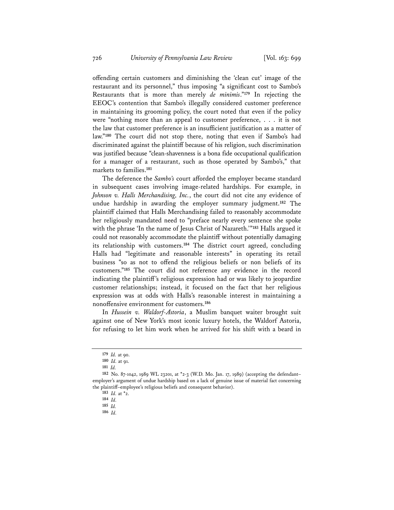offending certain customers and diminishing the 'clean cut' image of the restaurant and its personnel," thus imposing "a significant cost to Sambo's Restaurants that is more than merely *de minimis*."**<sup>179</sup>** In rejecting the EEOC's contention that Sambo's illegally considered customer preference in maintaining its grooming policy, the court noted that even if the policy were "nothing more than an appeal to customer preference, . . . it is not the law that customer preference is an insufficient justification as a matter of law."**<sup>180</sup>** The court did not stop there, noting that even if Sambo's had discriminated against the plaintiff because of his religion, such discrimination was justified because "clean-shavenness is a bona fide occupational qualification for a manager of a restaurant, such as those operated by Sambo's," that markets to families.**<sup>181</sup>**

The deference the *Sambo's* court afforded the employer became standard in subsequent cases involving image-related hardships. For example, in *Johnson v. Halls Merchandising, Inc.*, the court did not cite any evidence of undue hardship in awarding the employer summary judgment.**<sup>182</sup>** The plaintiff claimed that Halls Merchandising failed to reasonably accommodate her religiously mandated need to "preface nearly every sentence she spoke with the phrase 'In the name of Jesus Christ of Nazareth.'"**<sup>183</sup>** Halls argued it could not reasonably accommodate the plaintiff without potentially damaging its relationship with customers.**<sup>184</sup>** The district court agreed, concluding Halls had "legitimate and reasonable interests" in operating its retail business "so as not to offend the religious beliefs or non beliefs of its customers."**<sup>185</sup>** The court did not reference any evidence in the record indicating the plaintiff's religious expression had or was likely to jeopardize customer relationships; instead, it focused on the fact that her religious expression was at odds with Halls's reasonable interest in maintaining a nonoffensive environment for customers.**<sup>186</sup>**

In *Hussein v. Waldorf-Astoria*, a Muslim banquet waiter brought suit against one of New York's most iconic luxury hotels, the Waldorf Astoria, for refusing to let him work when he arrived for his shift with a beard in

**<sup>179</sup>** *Id.* at 90.

**<sup>180</sup>** *Id.* at 91.

**<sup>181</sup>** *Id.*

**<sup>182</sup>** No. 87-1042, 1989 WL 23201, at \*2-3 (W.D. Mo. Jan. 17, 1989) (accepting the defendant– employer's argument of undue hardship based on a lack of genuine issue of material fact concerning the plaintiff–employee's religious beliefs and consequent behavior).

**<sup>183</sup>** *Id.* at \*2.

**<sup>184</sup>** *Id.*

**<sup>185</sup>** *Id.*

**<sup>186</sup>** *Id.*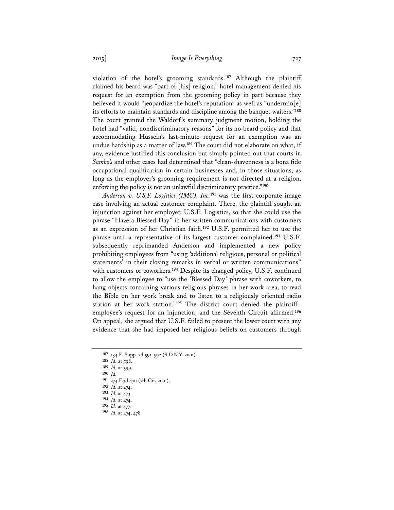violation of the hotel's grooming standards.**<sup>187</sup>** Although the plaintiff claimed his beard was "part of [his] religion," hotel management denied his request for an exemption from the grooming policy in part because they believed it would "jeopardize the hotel's reputation" as well as "undermin[e] its efforts to maintain standards and discipline among the banquet waiters."**<sup>188</sup>** The court granted the Waldorf's summary judgment motion, holding the hotel had "valid, nondiscriminatory reasons" for its no-beard policy and that accommodating Hussein's last-minute request for an exemption was an undue hardship as a matter of law.**<sup>189</sup>** The court did not elaborate on what, if any, evidence justified this conclusion but simply pointed out that courts in *Sambo's* and other cases had determined that "clean-shavenness is a bona fide occupational qualification in certain businesses and, in those situations, as long as the employer's grooming requirement is not directed at a religion, enforcing the policy is not an unlawful discriminatory practice."**<sup>190</sup>**

*Anderson v. U.S.F. Logistics (IMC), Inc.***<sup>191</sup>** was the first corporate image case involving an actual customer complaint. There, the plaintiff sought an injunction against her employer, U.S.F. Logistics, so that she could use the phrase "Have a Blessed Day" in her written communications with customers as an expression of her Christian faith.**<sup>192</sup>** U.S.F. permitted her to use the phrase until a representative of its largest customer complained.**<sup>193</sup>** U.S.F. subsequently reprimanded Anderson and implemented a new policy prohibiting employees from "using 'additional religious, personal or political statements' in their closing remarks in verbal or written communications" with customers or coworkers.**<sup>194</sup>** Despite its changed policy, U.S.F. continued to allow the employee to "use the 'Blessed Day' phrase with coworkers, to hang objects containing various religious phrases in her work area, to read the Bible on her work break and to listen to a religiously oriented radio station at her work station."**<sup>195</sup>** The district court denied the plaintiff– employee's request for an injunction, and the Seventh Circuit affirmed.**<sup>196</sup>** On appeal, she argued that U.S.F. failed to present the lower court with any evidence that she had imposed her religious beliefs on customers through

**<sup>187</sup>** 134 F. Supp. 2d 591, 592 (S.D.N.Y. 2001).

**<sup>188</sup>** *Id.* at 598.

**<sup>189</sup>** *Id.* at 599. **<sup>190</sup>** *Id.*

**<sup>191</sup>** 274 F.3d 470 (7th Cir. 2001).

**<sup>192</sup>** *Id.* at 474. **<sup>193</sup>** *Id.* at 473.

**<sup>194</sup>** *Id.* at 474. **<sup>195</sup>** *Id.* at 477.

**<sup>196</sup>** *Id.* at 474, 478.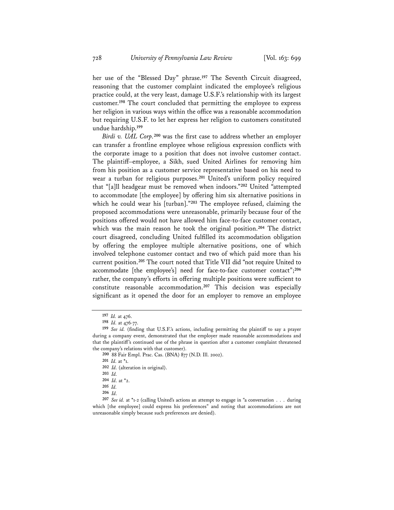her use of the "Blessed Day" phrase.**<sup>197</sup>** The Seventh Circuit disagreed, reasoning that the customer complaint indicated the employee's religious practice could, at the very least, damage U.S.F.'s relationship with its largest customer.**<sup>198</sup>** The court concluded that permitting the employee to express her religion in various ways within the office was a reasonable accommodation but requiring U.S.F. to let her express her religion to customers constituted undue hardship.**<sup>199</sup>**

*Birdi v. UAL Corp.***<sup>200</sup>** was the first case to address whether an employer can transfer a frontline employee whose religious expression conflicts with the corporate image to a position that does not involve customer contact. The plaintiff–employee, a Sikh, sued United Airlines for removing him from his position as a customer service representative based on his need to wear a turban for religious purposes.**<sup>201</sup>** United's uniform policy required that "[a]ll headgear must be removed when indoors."**<sup>202</sup>** United "attempted to accommodate [the employee] by offering him six alternative positions in which he could wear his [turban]."**<sup>203</sup>** The employee refused, claiming the proposed accommodations were unreasonable, primarily because four of the positions offered would not have allowed him face-to-face customer contact, which was the main reason he took the original position.**<sup>204</sup>** The district court disagreed, concluding United fulfilled its accommodation obligation by offering the employee multiple alternative positions, one of which involved telephone customer contact and two of which paid more than his current position.**<sup>205</sup>** The court noted that Title VII did "not require United to accommodate [the employee's] need for face-to-face customer contact";**<sup>206</sup>** rather, the company's efforts in offering multiple positions were sufficient to constitute reasonable accommodation.**<sup>207</sup>** This decision was especially significant as it opened the door for an employer to remove an employee

**<sup>197</sup>** *Id.* at 476.

**<sup>198</sup>** *Id.* at 476-77.

**<sup>199</sup>** *See id.* (finding that U.S.F.'s actions, including permitting the plaintiff to say a prayer during a company event, demonstrated that the employer made reasonable accommodations and that the plaintiff's continued use of the phrase in question after a customer complaint threatened the company's relations with that customer).

**<sup>200</sup>** 88 Fair Empl. Prac. Cas. (BNA) 877 (N.D. Ill. 2002).

**<sup>201</sup>** *Id.* at \*1.

**<sup>202</sup>** *Id.* (alteration in original).

**<sup>203</sup>** *Id.*

**<sup>204</sup>** *Id.* at \*2.

**<sup>205</sup>** *Id.*

**<sup>206</sup>** *Id.*

**<sup>207</sup>** *See id.* at \*1-2 (calling United's actions an attempt to engage in "a conversation . . . during which [the employee] could express his preferences" and noting that accommodations are not unreasonable simply because such preferences are denied).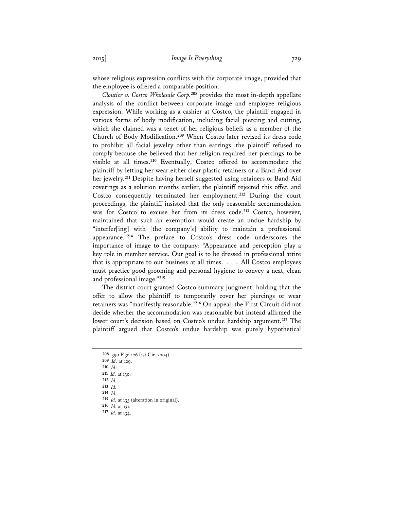whose religious expression conflicts with the corporate image, provided that the employee is offered a comparable position.

*Cloutier v. Costco Wholesale Corp.***<sup>208</sup>** provides the most in-depth appellate analysis of the conflict between corporate image and employee religious expression. While working as a cashier at Costco, the plaintiff engaged in various forms of body modification, including facial piercing and cutting, which she claimed was a tenet of her religious beliefs as a member of the Church of Body Modification.**<sup>209</sup>** When Costco later revised its dress code to prohibit all facial jewelry other than earrings, the plaintiff refused to comply because she believed that her religion required her piercings to be visible at all times.**<sup>210</sup>** Eventually, Costco offered to accommodate the plaintiff by letting her wear either clear plastic retainers or a Band-Aid over her jewelry.**<sup>211</sup>** Despite having herself suggested using retainers or Band-Aid coverings as a solution months earlier, the plaintiff rejected this offer, and Costco consequently terminated her employment.**<sup>212</sup>** During the court proceedings, the plaintiff insisted that the only reasonable accommodation was for Costco to excuse her from its dress code.**<sup>213</sup>** Costco, however, maintained that such an exemption would create an undue hardship by "interfer[ing] with [the company's] ability to maintain a professional appearance."**<sup>214</sup>** The preface to Costco's dress code underscores the importance of image to the company: "Appearance and perception play a key role in member service. Our goal is to be dressed in professional attire that is appropriate to our business at all times. . . . All Costco employees must practice good grooming and personal hygiene to convey a neat, clean and professional image."**<sup>215</sup>**

The district court granted Costco summary judgment, holding that the offer to allow the plaintiff to temporarily cover her piercings or wear retainers was "manifestly reasonable."**<sup>216</sup>** On appeal, the First Circuit did not decide whether the accommodation was reasonable but instead affirmed the lower court's decision based on Costco's undue hardship argument.**<sup>217</sup>** The plaintiff argued that Costco's undue hardship was purely hypothetical

**<sup>208</sup>** 390 F.3d 126 (1st Cir. 2004). **<sup>209</sup>** *Id.* at 129. **<sup>210</sup>** *Id.* **<sup>211</sup>** *Id.* at 130. **<sup>212</sup>** *Id.* **<sup>213</sup>** *Id.* **<sup>214</sup>** *Id.* **<sup>215</sup>** *Id.* at 135 (alteration in original).

**<sup>216</sup>** *Id.* at 131. **<sup>217</sup>** *Id.* at 134.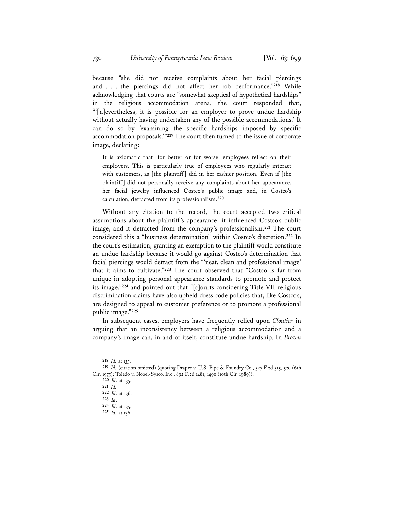because "she did not receive complaints about her facial piercings and . . . the piercings did not affect her job performance."**<sup>218</sup>** While acknowledging that courts are "somewhat skeptical of hypothetical hardships" in the religious accommodation arena, the court responded that, "'[n]evertheless, it is possible for an employer to prove undue hardship without actually having undertaken any of the possible accommodations.' It can do so by 'examining the specific hardships imposed by specific accommodation proposals.'"**<sup>219</sup>** The court then turned to the issue of corporate image, declaring:

It is axiomatic that, for better or for worse, employees reflect on their employers. This is particularly true of employees who regularly interact with customers, as [the plaintiff] did in her cashier position. Even if [the plaintiff] did not personally receive any complaints about her appearance, her facial jewelry influenced Costco's public image and, in Costco's calculation, detracted from its professionalism.**<sup>220</sup>**

Without any citation to the record, the court accepted two critical assumptions about the plaintiff's appearance: it influenced Costco's public image, and it detracted from the company's professionalism.**<sup>221</sup>** The court considered this a "business determination" within Costco's discretion.**<sup>222</sup>** In the court's estimation, granting an exemption to the plaintiff would constitute an undue hardship because it would go against Costco's determination that facial piercings would detract from the "'neat, clean and professional image' that it aims to cultivate."**<sup>223</sup>** The court observed that "Costco is far from unique in adopting personal appearance standards to promote and protect its image,"**<sup>224</sup>** and pointed out that "[c]ourts considering Title VII religious discrimination claims have also upheld dress code policies that, like Costco's, are designed to appeal to customer preference or to promote a professional public image."**<sup>225</sup>**

In subsequent cases, employers have frequently relied upon *Cloutier* in arguing that an inconsistency between a religious accommodation and a company's image can, in and of itself, constitute undue hardship. In *Brown* 

**<sup>218</sup>** *Id.* at 135.

**<sup>219</sup>** *Id.* (citation omitted) (quoting Draper v. U.S. Pipe & Foundry Co., 527 F.2d 515, 520 (6th Cir. 1975); Toledo v. Nobel-Sysco, Inc., 892 F.2d 1481, 1490 (10th Cir. 1989)).

**<sup>220</sup>** *Id.* at 135.

**<sup>221</sup>** *Id.*

**<sup>222</sup>** *Id.* at 136.

**<sup>223</sup>** *Id.*

**<sup>224</sup>** *Id.* at 135. **<sup>225</sup>** *Id.* at 136.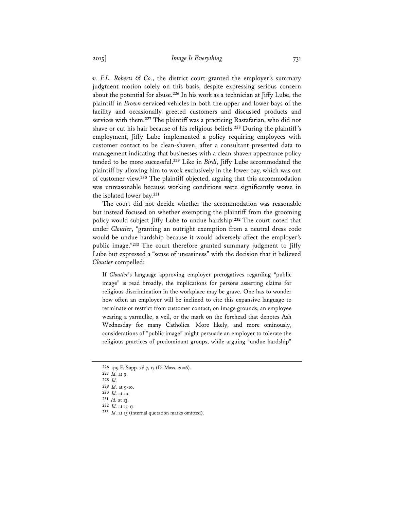*v. F.L. Roberts*  $G$  Co., the district court granted the employer's summary judgment motion solely on this basis, despite expressing serious concern about the potential for abuse.**<sup>226</sup>** In his work as a technician at Jiffy Lube, the plaintiff in *Brown* serviced vehicles in both the upper and lower bays of the facility and occasionally greeted customers and discussed products and services with them.**<sup>227</sup>** The plaintiff was a practicing Rastafarian, who did not shave or cut his hair because of his religious beliefs.**<sup>228</sup>** During the plaintiff's employment, Jiffy Lube implemented a policy requiring employees with customer contact to be clean-shaven, after a consultant presented data to management indicating that businesses with a clean-shaven appearance policy tended to be more successful.**<sup>229</sup>** Like in *Birdi*, Jiffy Lube accommodated the plaintiff by allowing him to work exclusively in the lower bay, which was out of customer view.**<sup>230</sup>** The plaintiff objected, arguing that this accommodation was unreasonable because working conditions were significantly worse in the isolated lower bay.**<sup>231</sup>**

The court did not decide whether the accommodation was reasonable but instead focused on whether exempting the plaintiff from the grooming policy would subject Jiffy Lube to undue hardship.**<sup>232</sup>** The court noted that under *Cloutier*, "granting an outright exemption from a neutral dress code would be undue hardship because it would adversely affect the employer's public image."**<sup>233</sup>** The court therefore granted summary judgment to Jiffy Lube but expressed a "sense of uneasiness" with the decision that it believed *Cloutier* compelled:

If *Cloutier*'s language approving employer prerogatives regarding "public image" is read broadly, the implications for persons asserting claims for religious discrimination in the workplace may be grave. One has to wonder how often an employer will be inclined to cite this expansive language to terminate or restrict from customer contact, on image grounds, an employee wearing a yarmulke, a veil, or the mark on the forehead that denotes Ash Wednesday for many Catholics. More likely, and more ominously, considerations of "public image" might persuade an employer to tolerate the religious practices of predominant groups, while arguing "undue hardship"

**<sup>227</sup>** *Id.* at 9.

**<sup>226</sup>** 419 F. Supp. 2d 7, 17 (D. Mass. 2006).

**<sup>228</sup>** *Id.* **<sup>229</sup>** *Id.* at 9-10.

**<sup>231</sup>** *Id.* at 13.

**<sup>232</sup>** *Id.* at 15-17.

**<sup>233</sup>** *Id.* at 15 (internal quotation marks omitted).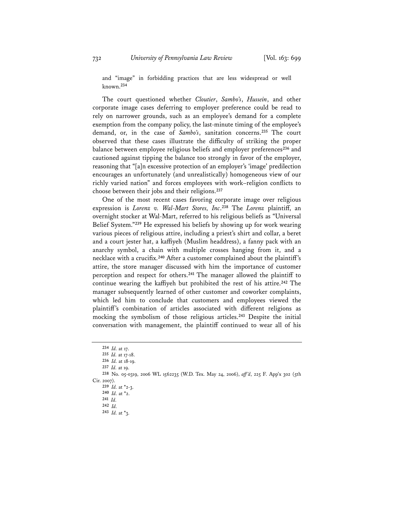and "image" in forbidding practices that are less widespread or well known.**<sup>234</sup>**

The court questioned whether *Cloutier*, *Sambo's*, *Hussein*, and other corporate image cases deferring to employer preference could be read to rely on narrower grounds, such as an employee's demand for a complete exemption from the company policy, the last-minute timing of the employee's demand, or, in the case of *Sambo's*, sanitation concerns.**<sup>235</sup>** The court observed that these cases illustrate the difficulty of striking the proper balance between employee religious beliefs and employer preferences**<sup>236</sup>** and cautioned against tipping the balance too strongly in favor of the employer, reasoning that "[a]n excessive protection of an employer's 'image' predilection encourages an unfortunately (and unrealistically) homogeneous view of our richly varied nation" and forces employees with work–religion conflicts to choose between their jobs and their religions.**<sup>237</sup>**

One of the most recent cases favoring corporate image over religious expression is *Lorenz v. Wal-Mart Stores, Inc*. **<sup>238</sup>** The *Lorenz* plaintiff, an overnight stocker at Wal-Mart, referred to his religious beliefs as "Universal Belief System."**<sup>239</sup>** He expressed his beliefs by showing up for work wearing various pieces of religious attire, including a priest's shirt and collar, a beret and a court jester hat, a kaffiyeh (Muslim headdress), a fanny pack with an anarchy symbol, a chain with multiple crosses hanging from it, and a necklace with a crucifix.**<sup>240</sup>** After a customer complained about the plaintiff's attire, the store manager discussed with him the importance of customer perception and respect for others.**<sup>241</sup>** The manager allowed the plaintiff to continue wearing the kaffiyeh but prohibited the rest of his attire.**<sup>242</sup>** The manager subsequently learned of other customer and coworker complaints, which led him to conclude that customers and employees viewed the plaintiff's combination of articles associated with different religions as mocking the symbolism of those religious articles.**<sup>243</sup>** Despite the initial conversation with management, the plaintiff continued to wear all of his

**<sup>234</sup>** *Id.* at 17.

**<sup>235</sup>** *Id.* at 17-18.

**<sup>236</sup>** *Id.* at 18-19.

**<sup>237</sup>** *Id.* at 19.

**<sup>238</sup>** No. 05-0319, 2006 WL 1562235 (W.D. Tex. May 24, 2006), *aff 'd*, 225 F. App'x 302 (5th Cir. 2007).

**<sup>239</sup>** *Id.* at \*2-3.

**<sup>240</sup>** *Id.* at \*2. **<sup>241</sup>** *Id.* 

**<sup>242</sup>** *Id.*

**<sup>243</sup>** *Id.* at \*3.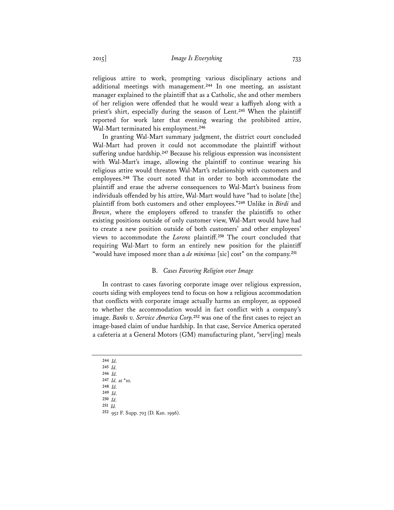religious attire to work, prompting various disciplinary actions and additional meetings with management.**<sup>244</sup>** In one meeting, an assistant manager explained to the plaintiff that as a Catholic, she and other members of her religion were offended that he would wear a kaffiyeh along with a priest's shirt, especially during the season of Lent.**<sup>245</sup>** When the plaintiff reported for work later that evening wearing the prohibited attire, Wal-Mart terminated his employment.**<sup>246</sup>**

In granting Wal-Mart summary judgment, the district court concluded Wal-Mart had proven it could not accommodate the plaintiff without suffering undue hardship.**<sup>247</sup>** Because his religious expression was inconsistent with Wal-Mart's image, allowing the plaintiff to continue wearing his religious attire would threaten Wal-Mart's relationship with customers and employees.**<sup>248</sup>** The court noted that in order to both accommodate the plaintiff and erase the adverse consequences to Wal-Mart's business from individuals offended by his attire, Wal-Mart would have "had to isolate [the] plaintiff from both customers and other employees."**<sup>249</sup>** Unlike in *Birdi* and *Brown*, where the employers offered to transfer the plaintiffs to other existing positions outside of only customer view, Wal-Mart would have had to create a new position outside of both customers' and other employees' views to accommodate the *Lorenz* plaintiff.**<sup>250</sup>** The court concluded that requiring Wal-Mart to form an entirely new position for the plaintiff "would have imposed more than a *de minimus* [sic] cost" on the company.**<sup>251</sup>**

## B. *Cases Favoring Religion over Image*

In contrast to cases favoring corporate image over religious expression, courts siding with employees tend to focus on how a religious accommodation that conflicts with corporate image actually harms an employer, as opposed to whether the accommodation would in fact conflict with a company's image. *Banks v. Service America Corp.***<sup>252</sup>** was one of the first cases to reject an image-based claim of undue hardship. In that case, Service America operated a cafeteria at a General Motors (GM) manufacturing plant, "serv[ing] meals

- **<sup>244</sup>** *Id.*
- **<sup>245</sup>** *Id.*
- **<sup>246</sup>** *Id.*
- **<sup>247</sup>** *Id.* at \*10.
- **<sup>248</sup>** *Id.* **<sup>249</sup>** *Id.*
- 
- **<sup>250</sup>** *Id.*
- **<sup>251</sup>** *Id.*  **<sup>252</sup>** 952 F. Supp. 703 (D. Kan. 1996).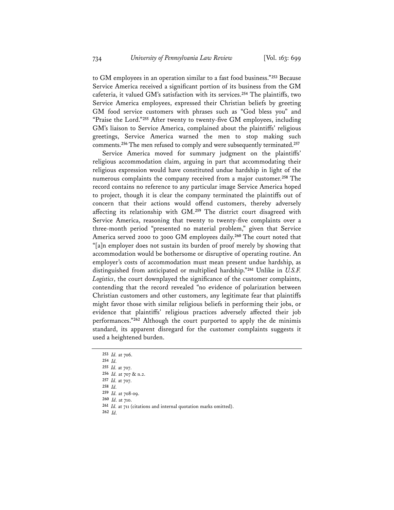to GM employees in an operation similar to a fast food business."**<sup>253</sup>** Because Service America received a significant portion of its business from the GM cafeteria, it valued GM's satisfaction with its services.**<sup>254</sup>** The plaintiffs, two Service America employees, expressed their Christian beliefs by greeting GM food service customers with phrases such as "God bless you" and "Praise the Lord."**<sup>255</sup>** After twenty to twenty-five GM employees, including GM's liaison to Service America, complained about the plaintiffs' religious greetings, Service America warned the men to stop making such comments.**<sup>256</sup>** The men refused to comply and were subsequently terminated.**<sup>257</sup>**

Service America moved for summary judgment on the plaintiffs' religious accommodation claim, arguing in part that accommodating their religious expression would have constituted undue hardship in light of the numerous complaints the company received from a major customer.**<sup>258</sup>** The record contains no reference to any particular image Service America hoped to project, though it is clear the company terminated the plaintiffs out of concern that their actions would offend customers, thereby adversely affecting its relationship with GM.**<sup>259</sup>** The district court disagreed with Service America, reasoning that twenty to twenty-five complaints over a three-month period "presented no material problem," given that Service America served 2000 to 3000 GM employees daily.**<sup>260</sup>** The court noted that "[a]n employer does not sustain its burden of proof merely by showing that accommodation would be bothersome or disruptive of operating routine. An employer's costs of accommodation must mean present undue hardship, as distinguished from anticipated or multiplied hardship."**<sup>261</sup>** Unlike in *U.S.F. Logistics*, the court downplayed the significance of the customer complaints, contending that the record revealed "no evidence of polarization between Christian customers and other customers, any legitimate fear that plaintiffs might favor those with similar religious beliefs in performing their jobs, or evidence that plaintiffs' religious practices adversely affected their job performances."**<sup>262</sup>** Although the court purported to apply the de minimis standard, its apparent disregard for the customer complaints suggests it used a heightened burden.

**<sup>258</sup>** *Id.* **<sup>259</sup>** *Id.* at 708-09.

**<sup>262</sup>** *Id.* 

**<sup>253</sup>** *Id.* at 706.

**<sup>254</sup>** *Id.* 

**<sup>255</sup>** *Id.* at 707.

**<sup>256</sup>** *Id.* at 707 & n.2.

**<sup>257</sup>** *Id.* at 707.

**<sup>260</sup>** *Id.* at 710.

**<sup>261</sup>** *Id.* at 711 (citations and internal quotation marks omitted).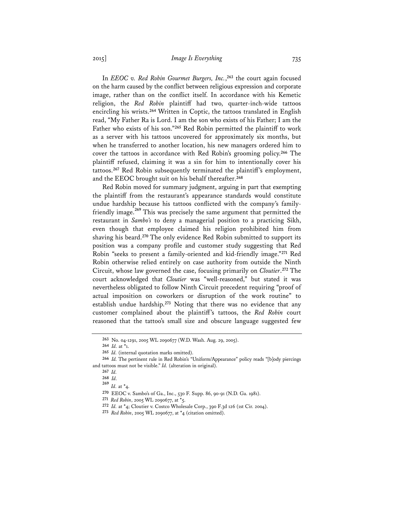In *EEOC v. Red Robin Gourmet Burgers, Inc.*, **<sup>263</sup>** the court again focused on the harm caused by the conflict between religious expression and corporate image, rather than on the conflict itself. In accordance with his Kemetic religion, the *Red Robin* plaintiff had two, quarter-inch-wide tattoos encircling his wrists.**<sup>264</sup>** Written in Coptic, the tattoos translated in English read, "My Father Ra is Lord. I am the son who exists of his Father; I am the Father who exists of his son."**<sup>265</sup>** Red Robin permitted the plaintiff to work as a server with his tattoos uncovered for approximately six months, but when he transferred to another location, his new managers ordered him to cover the tattoos in accordance with Red Robin's grooming policy.**<sup>266</sup>** The plaintiff refused, claiming it was a sin for him to intentionally cover his tattoos.**<sup>267</sup>** Red Robin subsequently terminated the plaintiff's employment, and the EEOC brought suit on his behalf thereafter.**<sup>268</sup>**

Red Robin moved for summary judgment, arguing in part that exempting the plaintiff from the restaurant's appearance standards would constitute undue hardship because his tattoos conflicted with the company's familyfriendly image.**<sup>269</sup>** This was precisely the same argument that permitted the restaurant in *Sambo's* to deny a managerial position to a practicing Sikh, even though that employee claimed his religion prohibited him from shaving his beard.**<sup>270</sup>** The only evidence Red Robin submitted to support its position was a company profile and customer study suggesting that Red Robin "seeks to present a family-oriented and kid-friendly image."**<sup>271</sup>** Red Robin otherwise relied entirely on case authority from outside the Ninth Circuit, whose law governed the case, focusing primarily on *Cloutier*. **<sup>272</sup>** The court acknowledged that *Cloutier* was "well-reasoned," but stated it was nevertheless obligated to follow Ninth Circuit precedent requiring "proof of actual imposition on coworkers or disruption of the work routine" to establish undue hardship.**<sup>273</sup>** Noting that there was no evidence that any customer complained about the plaintiff's tattoos, the *Red Robin* court reasoned that the tattoo's small size and obscure language suggested few

**<sup>263</sup>** No. 04-1291, 2005 WL 2090677 (W.D. Wash. Aug. 29, 2005).

**<sup>264</sup>** *Id.* at \*1.

**<sup>265</sup>** *Id.* (internal quotation marks omitted).

**<sup>266</sup>** *Id.* The pertinent rule in Red Robin's "Uniform/Appearance" policy reads "[b]ody piercings and tattoos must not be visible." *Id.* (alteration in original).

**<sup>267</sup>** *Id.*

**<sup>268</sup>** *Id.* 

**<sup>269</sup>** *Id.* at \*4.

**<sup>270</sup>** EEOC v. Sambo's of Ga., Inc., 530 F. Supp. 86, 90-91 (N.D. Ga. 1981).

**<sup>271</sup>** *Red Robin*, 2005 WL 2090677, at \*5.

**<sup>272</sup>** *Id.* at \*4; Cloutier v. Costco Wholesale Corp., 390 F.3d 126 (1st Cir. 2004).

**<sup>273</sup>** *Red Robin*, 2005 WL 2090677, at \*4 (citation omitted).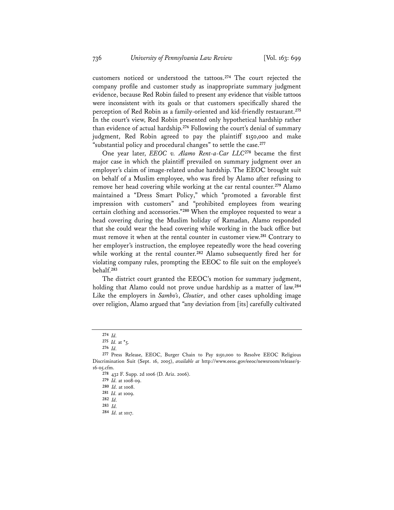customers noticed or understood the tattoos.**<sup>274</sup>** The court rejected the company profile and customer study as inappropriate summary judgment evidence, because Red Robin failed to present any evidence that visible tattoos were inconsistent with its goals or that customers specifically shared the perception of Red Robin as a family-oriented and kid-friendly restaurant.**<sup>275</sup>** In the court's view, Red Robin presented only hypothetical hardship rather than evidence of actual hardship.**<sup>276</sup>** Following the court's denial of summary judgment, Red Robin agreed to pay the plaintiff \$150,000 and make "substantial policy and procedural changes" to settle the case.**<sup>277</sup>**

One year later, *EEOC v. Alamo Rent-a-Car LLC***<sup>278</sup>** became the first major case in which the plaintiff prevailed on summary judgment over an employer's claim of image-related undue hardship. The EEOC brought suit on behalf of a Muslim employee, who was fired by Alamo after refusing to remove her head covering while working at the car rental counter.**<sup>279</sup>** Alamo maintained a "Dress Smart Policy," which "promoted a favorable first impression with customers" and "prohibited employees from wearing certain clothing and accessories."**<sup>280</sup>** When the employee requested to wear a head covering during the Muslim holiday of Ramadan, Alamo responded that she could wear the head covering while working in the back office but must remove it when at the rental counter in customer view.**<sup>281</sup>** Contrary to her employer's instruction, the employee repeatedly wore the head covering while working at the rental counter.**<sup>282</sup>** Alamo subsequently fired her for violating company rules, prompting the EEOC to file suit on the employee's behalf.**<sup>283</sup>**

The district court granted the EEOC's motion for summary judgment, holding that Alamo could not prove undue hardship as a matter of law.**<sup>284</sup>** Like the employers in *Sambo's*, *Cloutier*, and other cases upholding image over religion, Alamo argued that "any deviation from [its] carefully cultivated

**<sup>274</sup>** *Id.* 

**<sup>275</sup>** *Id.* at \*5.

**<sup>276</sup>** *Id.*

**<sup>277</sup>** Press Release, EEOC, Burger Chain to Pay \$150,000 to Resolve EEOC Religious Discrimination Suit (Sept. 16, 2005), *available at* http://www.eeoc.gov/eeoc/newsroom/release/9- 16-05.cfm.

**<sup>278</sup>** 432 F. Supp. 2d 1006 (D. Ariz. 2006).

**<sup>279</sup>** *Id.* at 1008-09.

**<sup>280</sup>** *Id.* at 1008.

**<sup>281</sup>** *Id.* at 1009.

**<sup>282</sup>** *Id.*

**<sup>283</sup>** *Id.* 

**<sup>284</sup>** *Id.* at 1017.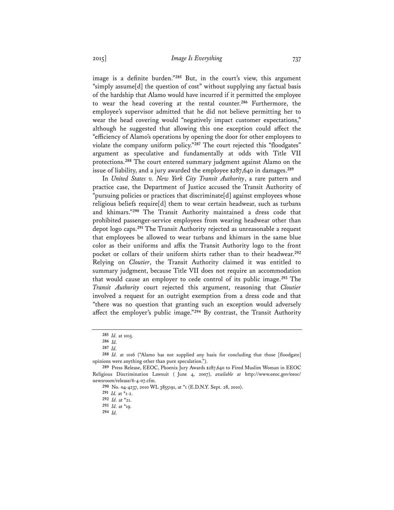image is a definite burden."**<sup>285</sup>** But, in the court's view, this argument "simply assume[d] the question of cost" without supplying any factual basis of the hardship that Alamo would have incurred if it permitted the employee to wear the head covering at the rental counter.**<sup>286</sup>** Furthermore, the employee's supervisor admitted that he did not believe permitting her to wear the head covering would "negatively impact customer expectations," although he suggested that allowing this one exception could affect the "efficiency of Alamo's operations by opening the door for other employees to violate the company uniform policy."**<sup>287</sup>** The court rejected this "floodgates" argument as speculative and fundamentally at odds with Title VII protections.**<sup>288</sup>** The court entered summary judgment against Alamo on the issue of liability, and a jury awarded the employee \$287,640 in damages.**<sup>289</sup>**

In *United States v. New York City Transit Authority*, a rare pattern and practice case, the Department of Justice accused the Transit Authority of "pursuing policies or practices that discriminate[d] against employees whose religious beliefs require[d] them to wear certain headwear, such as turbans and khimars."**<sup>290</sup>** The Transit Authority maintained a dress code that prohibited passenger-service employees from wearing headwear other than depot logo caps.**<sup>291</sup>** The Transit Authority rejected as unreasonable a request that employees be allowed to wear turbans and khimars in the same blue color as their uniforms and affix the Transit Authority logo to the front pocket or collars of their uniform shirts rather than to their headwear.**<sup>292</sup>** Relying on *Cloutier*, the Transit Authority claimed it was entitled to summary judgment, because Title VII does not require an accommodation that would cause an employer to cede control of its public image.**<sup>293</sup>** The *Transit Authority* court rejected this argument, reasoning that *Cloutier* involved a request for an outright exemption from a dress code and that "there was no question that granting such an exception would adversely affect the employer's public image."**<sup>294</sup>** By contrast, the Transit Authority

**<sup>290</sup>** No. 04-4237, 2010 WL 3855191, at \*1 (E.D.N.Y. Sept. 28, 2010).

**<sup>285</sup>** *Id.* at 1015.

**<sup>286</sup>** *Id.* 

**<sup>287</sup>** *Id.*

**<sup>288</sup>** *Id.* at 1016 ("Alamo has not supplied any basis for concluding that those [floodgate] opinions were anything other than pure speculation.").

**<sup>289</sup>** Press Release, EEOC, Phoenix Jury Awards \$287,640 to Fired Muslim Woman in EEOC Religious Discrimination Lawsuit ( June 4, 2007), *available at* http://www.eeoc.gov/eeoc/ newsroom/release/6-4-07.cfm.

**<sup>291</sup>** *Id.* at \*1-2.

**<sup>292</sup>** *Id.* at \*21.

**<sup>293</sup>** *Id.* at \*19.

**<sup>294</sup>** *Id.*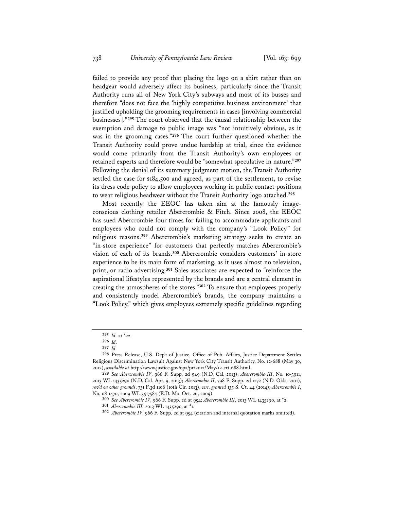failed to provide any proof that placing the logo on a shirt rather than on headgear would adversely affect its business, particularly since the Transit Authority runs all of New York City's subways and most of its busses and therefore "does not face the 'highly competitive business environment' that justified upholding the grooming requirements in cases [involving commercial businesses]."**<sup>295</sup>** The court observed that the causal relationship between the exemption and damage to public image was "not intuitively obvious, as it was in the grooming cases."**<sup>296</sup>** The court further questioned whether the Transit Authority could prove undue hardship at trial, since the evidence would come primarily from the Transit Authority's own employees or retained experts and therefore would be "somewhat speculative in nature."**<sup>297</sup>** Following the denial of its summary judgment motion, the Transit Authority settled the case for \$184,500 and agreed, as part of the settlement, to revise its dress code policy to allow employees working in public contact positions to wear religious headwear without the Transit Authority logo attached.**<sup>298</sup>**

Most recently, the EEOC has taken aim at the famously imageconscious clothing retailer Abercrombie & Fitch. Since 2008, the EEOC has sued Abercrombie four times for failing to accommodate applicants and employees who could not comply with the company's "Look Policy" for religious reasons.**<sup>299</sup>** Abercrombie's marketing strategy seeks to create an "in-store experience" for customers that perfectly matches Abercrombie's vision of each of its brands.**<sup>300</sup>** Abercrombie considers customers' in-store experience to be its main form of marketing, as it uses almost no television, print, or radio advertising.**<sup>301</sup>** Sales associates are expected to "reinforce the aspirational lifestyles represented by the brands and are a central element in creating the atmospheres of the stores."**<sup>302</sup>** To ensure that employees properly and consistently model Abercrombie's brands, the company maintains a "Look Policy," which gives employees extremely specific guidelines regarding

**<sup>295</sup>** *Id.* at \*22.

**<sup>296</sup>** *Id.* 

**<sup>297</sup>** *Id.* **<sup>298</sup>** Press Release, U.S. Dep't of Justice, Office of Pub. Affairs, Justice Department Settles Religious Discrimination Lawsuit Against New York City Transit Authority, No. 12-688 (May 30, 2012), *available at* http://www.justice.gov/opa/pr/2012/May/12-crt-688.html.

**<sup>299</sup>** *See Abercrombie IV*, 966 F. Supp. 2d 949 (N.D. Cal. 2013); *Abercrombie III*, No. 10-3911, 2013 WL 1435290 (N.D. Cal. Apr. 9, 2013); *Abercrombie II*, 798 F. Supp. 2d 1272 (N.D. Okla. 2011), *rev'd on other grounds*, 731 F.3d 1106 (10th Cir. 2013), *cert. granted* 135 S. Ct. 44 (2014); *Abercrombie I*, No. 08-1470, 2009 WL 3517584 (E.D. Mo. Oct. 26, 2009).

**<sup>300</sup>** *See Abercrombie IV*, 966 F. Supp. 2d at 954; *Abercrombie III*, 2013 WL 1435290, at \*2.

**<sup>301</sup>** *Abercrombie III*, 2013 WL 1435290, at \*1.

**<sup>302</sup>** *Abercrombie IV*, 966 F. Supp. 2d at 954 (citation and internal quotation marks omitted).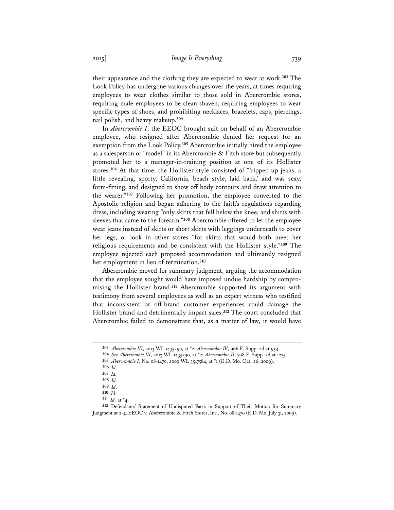their appearance and the clothing they are expected to wear at work.**<sup>303</sup>** The Look Policy has undergone various changes over the years, at times requiring employees to wear clothes similar to those sold in Abercrombie stores, requiring male employees to be clean-shaven, requiring employees to wear specific types of shoes, and prohibiting necklaces, bracelets, caps, piercings, nail polish, and heavy makeup.**<sup>304</sup>**

In *Abercrombie I*, the EEOC brought suit on behalf of an Abercrombie employee, who resigned after Abercrombie denied her request for an exemption from the Look Policy.**<sup>305</sup>** Abercrombie initially hired the employee as a salesperson or "model" in its Abercrombie & Fitch store but subsequently promoted her to a manager-in-training position at one of its Hollister stores.**<sup>306</sup>** At that time, the Hollister style consisted of "'ripped-up jeans, a little revealing, sporty, California, beach style, laid back,' and was sexy, form-fitting, and designed to show off body contours and draw attention to the wearer."**<sup>307</sup>** Following her promotion, the employee converted to the Apostolic religion and began adhering to the faith's regulations regarding dress, including wearing "only skirts that fell below the knee, and shirts with sleeves that came to the forearm."**<sup>308</sup>** Abercrombie offered to let the employee wear jeans instead of skirts or short skirts with leggings underneath to cover her legs, or look in other stores "for skirts that would both meet her religious requirements and be consistent with the Hollister style."**<sup>309</sup>** The employee rejected each proposed accommodation and ultimately resigned her employment in lieu of termination.**<sup>310</sup>**

Abercrombie moved for summary judgment, arguing the accommodation that the employee sought would have imposed undue hardship by compromising the Hollister brand.**<sup>311</sup>** Abercrombie supported its argument with testimony from several employees as well as an expert witness who testified that inconsistent or off-brand customer experiences could damage the Hollister brand and detrimentally impact sales.**<sup>312</sup>** The court concluded that Abercrombie failed to demonstrate that, as a matter of law, it would have

**<sup>303</sup>** *Abercrombie III*, 2013 WL 1435290, at \*2; *Abercrombie IV*, 966 F. Supp. 2d at 954. **<sup>304</sup>** *See Abercrombie III*, 2013 WL 1435290, at \*2; *Abercrombie II*, 798 F. Supp. 2d at 1275.

**<sup>305</sup>** *Abercrombie I*, No. 08-1470, 2009 WL 3517584, at \*1 (E.D. Mo. Oct. 26, 2009).

**<sup>306</sup>** *Id.* 

**<sup>307</sup>** *Id.* 

**<sup>308</sup>** *Id.* 

**<sup>309</sup>** *Id.* 

**<sup>310</sup>** *Id.*

**<sup>311</sup>** *Id.* at \*4.

**<sup>312</sup>** Defendants' Statement of Undisputed Facts in Support of Their Motion for Summary Judgment at 2-4, EEOC v. Abercrombie & Fitch Stores, Inc., No. 08-1470 (E.D. Mo. July 31, 2009).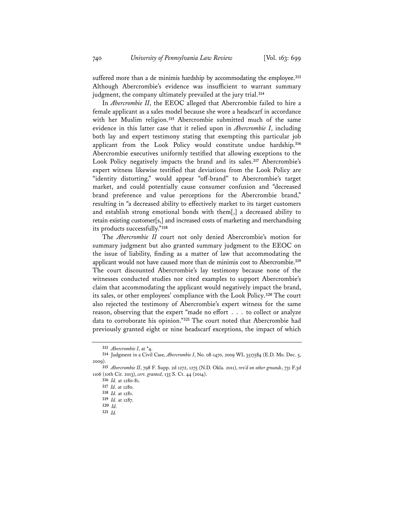suffered more than a de minimis hardship by accommodating the employee.**<sup>313</sup>** Although Abercrombie's evidence was insufficient to warrant summary judgment, the company ultimately prevailed at the jury trial.**<sup>314</sup>**

In *Abercrombie II*, the EEOC alleged that Abercrombie failed to hire a female applicant as a sales model because she wore a headscarf in accordance with her Muslim religion.**<sup>315</sup>** Abercrombie submitted much of the same evidence in this latter case that it relied upon in *Abercrombie I*, including both lay and expert testimony stating that exempting this particular job applicant from the Look Policy would constitute undue hardship.**<sup>316</sup>** Abercrombie executives uniformly testified that allowing exceptions to the Look Policy negatively impacts the brand and its sales.**<sup>317</sup>** Abercrombie's expert witness likewise testified that deviations from the Look Policy are "identity distorting," would appear "off-brand" to Abercrombie's target market, and could potentially cause consumer confusion and "decreased brand preference and value perceptions for the Abercrombie brand," resulting in "a decreased ability to effectively market to its target customers and establish strong emotional bonds with them[,] a decreased ability to retain existing customer[s,] and increased costs of marketing and merchandising its products successfully."**<sup>318</sup>**

The *Abercrombie II* court not only denied Abercrombie's motion for summary judgment but also granted summary judgment to the EEOC on the issue of liability, finding as a matter of law that accommodating the applicant would not have caused more than de minimis cost to Abercrombie.**<sup>319</sup>** The court discounted Abercrombie's lay testimony because none of the witnesses conducted studies nor cited examples to support Abercrombie's claim that accommodating the applicant would negatively impact the brand, its sales, or other employees' compliance with the Look Policy.**<sup>320</sup>** The court also rejected the testimony of Abercrombie's expert witness for the same reason, observing that the expert "made no effort . . . to collect or analyze data to corroborate his opinion."**<sup>321</sup>** The court noted that Abercrombie had previously granted eight or nine headscarf exceptions, the impact of which

**<sup>313</sup>** *Abercrombie I*, at \*4.

**<sup>314</sup>** Judgment in a Civil Case, *Abercrombie I*, No. 08-1470, 2009 WL 3517584 (E.D. Mo. Dec. 5, 2009).

**<sup>315</sup>** *Abercrombie II*, 798 F. Supp. 2d 1272, 1275 (N.D. Okla. 2011), *rev'd on other grounds*, 731 F.3d 1106 (10th Cir. 2013), *cert. granted*, 135 S. Ct. 44 (2014).

**<sup>316</sup>** *Id.* at 1280-81.

**<sup>317</sup>** *Id.* at 1280.

**<sup>318</sup>** *Id.* at 1281.

**<sup>319</sup>** *Id.* at 1287.

**<sup>320</sup>** *Id.*

**<sup>321</sup>** *Id.*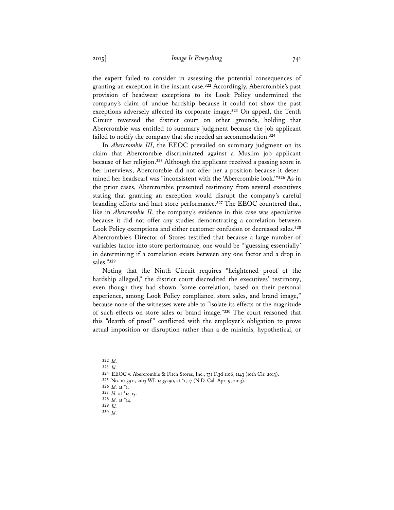the expert failed to consider in assessing the potential consequences of granting an exception in the instant case.**<sup>322</sup>** Accordingly, Abercrombie's past provision of headwear exceptions to its Look Policy undermined the company's claim of undue hardship because it could not show the past exceptions adversely affected its corporate image.**<sup>323</sup>** On appeal, the Tenth Circuit reversed the district court on other grounds, holding that Abercrombie was entitled to summary judgment because the job applicant failed to notify the company that she needed an accommodation.**<sup>324</sup>**

In *Abercrombie III*, the EEOC prevailed on summary judgment on its claim that Abercrombie discriminated against a Muslim job applicant because of her religion.**<sup>325</sup>** Although the applicant received a passing score in her interviews, Abercrombie did not offer her a position because it determined her headscarf was "inconsistent with the 'Abercrombie look.'"**<sup>326</sup>** As in the prior cases, Abercrombie presented testimony from several executives stating that granting an exception would disrupt the company's careful branding efforts and hurt store performance.**<sup>327</sup>** The EEOC countered that, like in *Abercrombie II*, the company's evidence in this case was speculative because it did not offer any studies demonstrating a correlation between Look Policy exemptions and either customer confusion or decreased sales.**<sup>328</sup>** Abercrombie's Director of Stores testified that because a large number of variables factor into store performance, one would be "'guessing essentially' in determining if a correlation exists between any one factor and a drop in sales."**<sup>329</sup>**

Noting that the Ninth Circuit requires "heightened proof of the hardship alleged," the district court discredited the executives' testimony, even though they had shown "some correlation, based on their personal experience, among Look Policy compliance, store sales, and brand image," because none of the witnesses were able to "isolate its effects or the magnitude of such effects on store sales or brand image."**<sup>330</sup>** The court reasoned that this "dearth of proof" conflicted with the employer's obligation to prove actual imposition or disruption rather than a de minimis, hypothetical, or

**<sup>322</sup>** *Id.* 

**<sup>323</sup>** *Id.*

**<sup>324</sup>** EEOC v. Abercrombie & Fitch Stores, Inc., 731 F.3d 1106, 1143 (10th Cir. 2013).

**<sup>325</sup>** No. 10-3911, 2013 WL 1435290, at \*1, 17 (N.D. Cal. Apr. 9, 2013).

**<sup>326</sup>** *Id.* at \*1.

**<sup>327</sup>** *Id.* at \*14-15.

**<sup>328</sup>** *Id.* at \*14.

**<sup>329</sup>** *Id.*

**<sup>330</sup>** *Id.*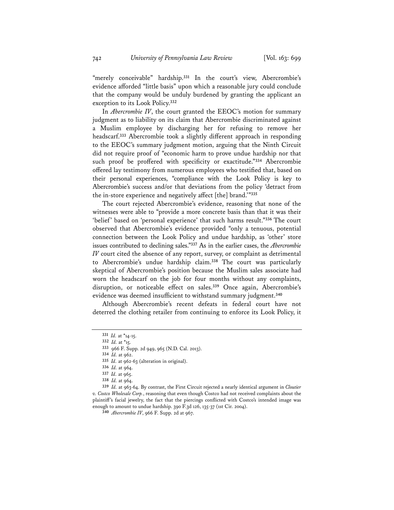"merely conceivable" hardship.**<sup>331</sup>** In the court's view, Abercrombie's evidence afforded "little basis" upon which a reasonable jury could conclude that the company would be unduly burdened by granting the applicant an exception to its Look Policy.**<sup>332</sup>**

In *Abercrombie IV*, the court granted the EEOC's motion for summary judgment as to liability on its claim that Abercrombie discriminated against a Muslim employee by discharging her for refusing to remove her headscarf.**<sup>333</sup>** Abercrombie took a slightly different approach in responding to the EEOC's summary judgment motion, arguing that the Ninth Circuit did not require proof of "economic harm to prove undue hardship nor that such proof be proffered with specificity or exactitude."**<sup>334</sup>** Abercrombie offered lay testimony from numerous employees who testified that, based on their personal experiences, "compliance with the Look Policy is key to Abercrombie's success and/or that deviations from the policy 'detract from the in-store experience and negatively affect [the] brand.'"**<sup>335</sup>**

The court rejected Abercrombie's evidence, reasoning that none of the witnesses were able to "provide a more concrete basis than that it was their 'belief' based on 'personal experience' that such harms result."**<sup>336</sup>** The court observed that Abercrombie's evidence provided "only a tenuous, potential connection between the Look Policy and undue hardship, as 'other' store issues contributed to declining sales."**<sup>337</sup>** As in the earlier cases, the *Abercrombie IV* court cited the absence of any report, survey, or complaint as detrimental to Abercrombie's undue hardship claim.**<sup>338</sup>** The court was particularly skeptical of Abercrombie's position because the Muslim sales associate had worn the headscarf on the job for four months without any complaints, disruption, or noticeable effect on sales.**<sup>339</sup>** Once again, Abercrombie's evidence was deemed insufficient to withstand summary judgment.**<sup>340</sup>**

Although Abercrombie's recent defeats in federal court have not deterred the clothing retailer from continuing to enforce its Look Policy, it

**<sup>334</sup>** *Id.* at 962.

**<sup>339</sup>** *Id.* at 963-64. By contrast, the First Circuit rejected a nearly identical argument in *Cloutier v. Costco Wholesale Corp.*, reasoning that even though Costco had not received complaints about the plaintiff's facial jewelry, the fact that the piercings conflicted with Costco's intended image was enough to amount to undue hardship. 390 F.3d 126, 135-37 (1st Cir. 2004).

**<sup>340</sup>** *Abercrombie IV*, 966 F. Supp. 2d at 967.

**<sup>331</sup>** *Id.* at \*14-15.

**<sup>332</sup>** *Id.* at \*15.

**<sup>333</sup>** 966 F. Supp. 2d 949, 965 (N.D. Cal. 2013).

**<sup>335</sup>** *Id.* at 962-63 (alteration in original).

**<sup>336</sup>** *Id.* at 964.

**<sup>337</sup>** *Id.* at 965.

**<sup>338</sup>** *Id.* at 964.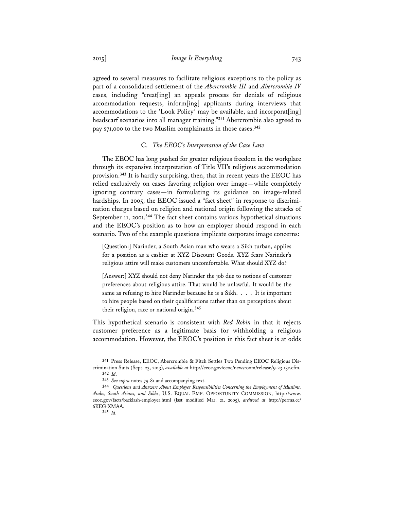agreed to several measures to facilitate religious exceptions to the policy as part of a consolidated settlement of the *Abercrombie III* and *Abercrombie IV* cases, including "creat[ing] an appeals process for denials of religious accommodation requests, inform[ing] applicants during interviews that accommodations to the 'Look Policy' may be available, and incorporat[ing] headscarf scenarios into all manager training."**<sup>341</sup>** Abercrombie also agreed to pay \$71,000 to the two Muslim complainants in those cases.**<sup>342</sup>**

## C. *The EEOC's Interpretation of the Case Law*

The EEOC has long pushed for greater religious freedom in the workplace through its expansive interpretation of Title VII's religious accommodation provision.**<sup>343</sup>** It is hardly surprising, then, that in recent years the EEOC has relied exclusively on cases favoring religion over image—while completely ignoring contrary cases—in formulating its guidance on image-related hardships. In 2005, the EEOC issued a "fact sheet" in response to discrimination charges based on religion and national origin following the attacks of September 11, 2001.**<sup>344</sup>** The fact sheet contains various hypothetical situations and the EEOC's position as to how an employer should respond in each scenario. Two of the example questions implicate corporate image concerns:

[Question:] Narinder, a South Asian man who wears a Sikh turban, applies for a position as a cashier at XYZ Discount Goods. XYZ fears Narinder's religious attire will make customers uncomfortable. What should XYZ do?

[Answer:] XYZ should not deny Narinder the job due to notions of customer preferences about religious attire. That would be unlawful. It would be the same as refusing to hire Narinder because he is a Sikh. . . . It is important to hire people based on their qualifications rather than on perceptions about their religion, race or national origin.**<sup>345</sup>**

This hypothetical scenario is consistent with *Red Robin* in that it rejects customer preference as a legitimate basis for withholding a religious accommodation. However, the EEOC's position in this fact sheet is at odds

**<sup>341</sup>** Press Release, EEOC, Abercrombie & Fitch Settles Two Pending EEOC Religious Discrimination Suits (Sept. 23, 2013), *available at* http://eeoc.gov/eeoc/newsroom/release/9-23-13c.cfm. **<sup>342</sup>** *Id.*

**<sup>343</sup>** *See supra* notes 79-81 and accompanying text.

**<sup>344</sup>** *Questions and Answers About Employer Responsibilities Concerning the Employment of Muslims, Arabs, South Asians, and Sikhs*, U.S. EQUAL EMP. OPPORTUNITY COMMISSION, http://www. eeoc.gov/facts/backlash-employer.html (last modified Mar. 21, 2005), *archived at* http://perma.cc/ 6KEG-XMAA.

**<sup>345</sup>** *Id.*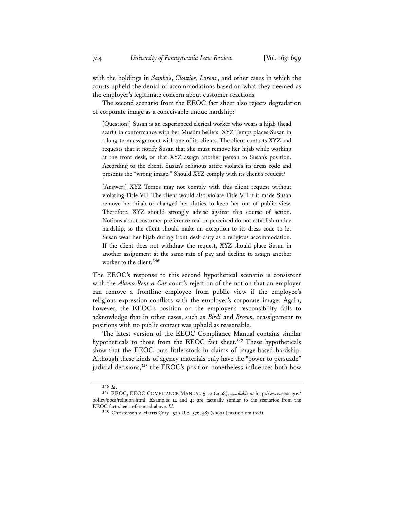with the holdings in *Sambo's*, *Cloutier*, *Lorenz*, and other cases in which the courts upheld the denial of accommodations based on what they deemed as the employer's legitimate concern about customer reactions.

The second scenario from the EEOC fact sheet also rejects degradation of corporate image as a conceivable undue hardship:

[Question:] Susan is an experienced clerical worker who wears a hijab (head scarf) in conformance with her Muslim beliefs. XYZ Temps places Susan in a long-term assignment with one of its clients. The client contacts XYZ and requests that it notify Susan that she must remove her hijab while working at the front desk, or that XYZ assign another person to Susan's position. According to the client, Susan's religious attire violates its dress code and presents the "wrong image." Should XYZ comply with its client's request?

[Answer:] XYZ Temps may not comply with this client request without violating Title VII. The client would also violate Title VII if it made Susan remove her hijab or changed her duties to keep her out of public view. Therefore, XYZ should strongly advise against this course of action. Notions about customer preference real or perceived do not establish undue hardship, so the client should make an exception to its dress code to let Susan wear her hijab during front desk duty as a religious accommodation. If the client does not withdraw the request, XYZ should place Susan in another assignment at the same rate of pay and decline to assign another worker to the client.**<sup>346</sup>**

The EEOC's response to this second hypothetical scenario is consistent with the *Alamo Rent-a-Car* court's rejection of the notion that an employer can remove a frontline employee from public view if the employee's religious expression conflicts with the employer's corporate image. Again, however, the EEOC's position on the employer's responsibility fails to acknowledge that in other cases, such as *Birdi* and *Brown*, reassignment to positions with no public contact was upheld as reasonable.

The latest version of the EEOC Compliance Manual contains similar hypotheticals to those from the EEOC fact sheet.**<sup>347</sup>** These hypotheticals show that the EEOC puts little stock in claims of image-based hardship. Although these kinds of agency materials only have the "power to persuade" judicial decisions,**<sup>348</sup>** the EEOC's position nonetheless influences both how

**<sup>346</sup>** *Id.*

**<sup>347</sup>** EEOC, EEOC COMPLIANCE MANUAL § 12 (2008), *available at* http://www.eeoc.gov/ policy/docs/religion.html. Examples 14 and 47 are factually similar to the scenarios from the EEOC fact sheet referenced above. Id.

<sup>348</sup> Christensen v. Harris Cnty., 529 U.S. 576, 587 (2000) (citation omitted).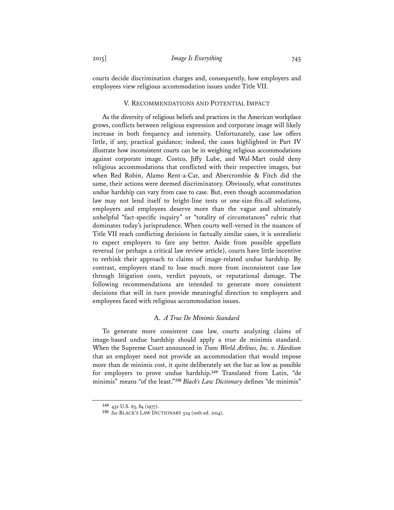courts decide discrimination charges and, consequently, how employers and employees view religious accommodation issues under Title VII.

#### V. RECOMMENDATIONS AND POTENTIAL IMPACT

As the diversity of religious beliefs and practices in the American workplace grows, conflicts between religious expression and corporate image will likely increase in both frequency and intensity. Unfortunately, case law offers little, if any, practical guidance; indeed, the cases highlighted in Part IV illustrate how inconsistent courts can be in weighing religious accommodations against corporate image. Costco, Jiffy Lube, and Wal-Mart could deny religious accommodations that conflicted with their respective images, but when Red Robin, Alamo Rent-a-Car, and Abercrombie & Fitch did the same, their actions were deemed discriminatory. Obviously, what constitutes undue hardship can vary from case to case. But, even though accommodation law may not lend itself to bright-line tests or one-size-fits-all solutions, employers and employees deserve more than the vague and ultimately unhelpful "fact-specific inquiry" or "totality of circumstances" rubric that dominates today's jurisprudence. When courts well-versed in the nuances of Title VII reach conflicting decisions in factually similar cases, it is unrealistic to expect employers to fare any better. Aside from possible appellate reversal (or perhaps a critical law review article), courts have little incentive to rethink their approach to claims of image-related undue hardship. By contrast, employers stand to lose much more from inconsistent case law through litigation costs, verdict payouts, or reputational damage. The following recommendations are intended to generate more consistent decisions that will in turn provide meaningful direction to employers and employees faced with religious accommodation issues.

## A. *A True De Minimis Standard*

To generate more consistent case law, courts analyzing claims of image-based undue hardship should apply a true de minimis standard. When the Supreme Court announced in *Trans World Airlines, Inc. v. Hardison* that an employer need not provide an accommodation that would impose more than de minimis cost, it quite deliberately set the bar as low as possible for employers to prove undue hardship.**<sup>349</sup>** Translated from Latin, "de minimis" means "of the least."**<sup>350</sup>** *Black's Law Dictionary* defines "de minimis"

**<sup>349</sup>** 432 U.S. 63, 84 (1977).

**<sup>350</sup>** *See* BLACK'S LAW DICTIONARY 524 (10th ed. 2014).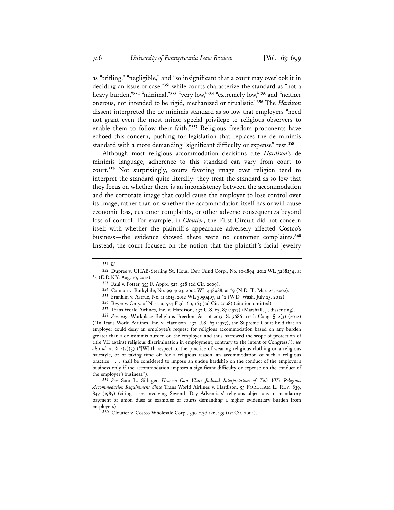as "trifling," "negligible," and "so insignificant that a court may overlook it in deciding an issue or case,"**<sup>351</sup>** while courts characterize the standard as "not a heavy burden,"**<sup>352</sup>** "minimal,"**<sup>353</sup>** "very low,"**<sup>354</sup>** "extremely low,"**<sup>355</sup>** and "neither onerous, nor intended to be rigid, mechanized or ritualistic."**<sup>356</sup>** The *Hardison* dissent interpreted the de minimis standard as so low that employers "need not grant even the most minor special privilege to religious observers to enable them to follow their faith."**<sup>357</sup>** Religious freedom proponents have echoed this concern, pushing for legislation that replaces the de minimis standard with a more demanding "significant difficulty or expense" test.**<sup>358</sup>**

Although most religious accommodation decisions cite *Hardison*'s de minimis language, adherence to this standard can vary from court to court.**<sup>359</sup>** Not surprisingly, courts favoring image over religion tend to interpret the standard quite literally: they treat the standard as so low that they focus on whether there is an inconsistency between the accommodation and the corporate image that could cause the employer to lose control over its image, rather than on whether the accommodation itself has or will cause economic loss, customer complaints, or other adverse consequences beyond loss of control. For example, in *Cloutier*, the First Circuit did not concern itself with whether the plaintiff's appearance adversely affected Costco's business—the evidence showed there were no customer complaints.**<sup>360</sup>** Instead, the court focused on the notion that the plaintiff's facial jewelry

**<sup>359</sup>** *See* Sara L. Silbiger, *Heaven Can Wait: Judicial Interpretation of Title VII's Religious Accommodation Requirement Since* Trans World Airlines v. Hardison, 53 FORDHAM L. REV. 839, 847 (1985) (citing cases involving Seventh Day Adventists' religious objections to mandatory payment of union dues as examples of courts demanding a higher evidentiary burden from employers).

**<sup>360</sup>** Cloutier v. Costco Wholesale Corp., 390 F.3d 126, 135 (1st Cir. 2004).

**<sup>351</sup>** *Id.*

**<sup>352</sup>** Dupree v. UHAB-Sterling St. Hous. Dev. Fund Corp., No. 10-1894, 2012 WL 3288234, at \*4 (E.D.N.Y. Aug. 10, 2012).

**<sup>353</sup>** Faul v. Potter, 355 F. App'x. 527, 528 (2d Cir. 2009).**<sup>354</sup>** Cannon v. Burkybile, No. 99-4623, 2002 WL 448988, at \*9 (N.D. Ill. Mar. 22, 2002).

**<sup>355</sup>** Franklin v. Astrue, No. 11-1615, 2012 WL 3059407, at \*2 (W.D. Wash. July 25, 2012).

**<sup>356</sup>** Beyer v. Cnty. of Nassau, 524 F.3d 160, 163 (2d Cir. 2008) (citation omitted).

**<sup>357</sup>** Trans World Airlines, Inc. v. Hardison, 432 U.S. 63, 87 (1977) (Marshall, J., dissenting).

**<sup>358</sup>** *See, e.g.*, Workplace Religious Freedom Act of 2013, S. 3686, 112th Cong. § 2(3) (2012) ("In Trans World Airlines, Inc. v. Hardison, 432 U.S. 63 (1977), the Supreme Court held that an employer could deny an employee's request for religious accommodation based on any burden greater than a de minimis burden on the employer, and thus narrowed the scope of protection of title VII against religious discrimination in employment, contrary to the intent of Congress."); *see also id.* at §  $4(a)(3)$  ("[W]ith respect to the practice of wearing religious clothing or a religious hairstyle, or of taking time off for a religious reason, an accommodation of such a religious practice . . . shall be considered to impose an undue hardship on the conduct of the employer's business only if the accommodation imposes a significant difficulty or expense on the conduct of the employer's business.").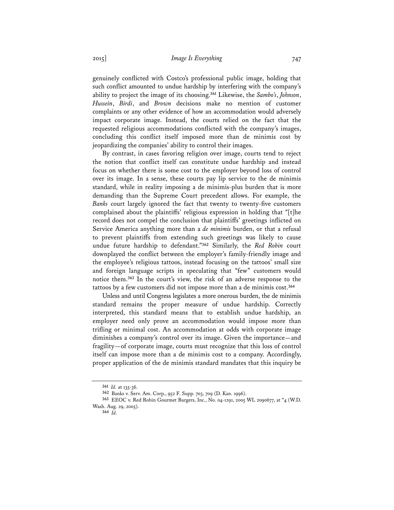genuinely conflicted with Costco's professional public image, holding that such conflict amounted to undue hardship by interfering with the company's ability to project the image of its choosing.**<sup>361</sup>** Likewise, the *Sambo's*, *Johnson*, *Hussein*, *Birdi*, and *Brown* decisions make no mention of customer complaints or any other evidence of how an accommodation would adversely impact corporate image. Instead, the courts relied on the fact that the requested religious accommodations conflicted with the company's images, concluding this conflict itself imposed more than de minimis cost by jeopardizing the companies' ability to control their images.

By contrast, in cases favoring religion over image, courts tend to reject the notion that conflict itself can constitute undue hardship and instead focus on whether there is some cost to the employer beyond loss of control over its image. In a sense, these courts pay lip service to the de minimis standard, while in reality imposing a de minimis-plus burden that is more demanding than the Supreme Court precedent allows. For example, the *Banks* court largely ignored the fact that twenty to twenty-five customers complained about the plaintiffs' religious expression in holding that "[t]he record does not compel the conclusion that plaintiffs' greetings inflicted on Service America anything more than a *de minimis* burden, or that a refusal to prevent plaintiffs from extending such greetings was likely to cause undue future hardship to defendant."**<sup>362</sup>** Similarly, the *Red Robin* court downplayed the conflict between the employer's family-friendly image and the employee's religious tattoos, instead focusing on the tattoos' small size and foreign language scripts in speculating that "few" customers would notice them.**<sup>363</sup>** In the court's view, the risk of an adverse response to the tattoos by a few customers did not impose more than a de minimis cost.**<sup>364</sup>**

Unless and until Congress legislates a more onerous burden, the de minimis standard remains the proper measure of undue hardship. Correctly interpreted, this standard means that to establish undue hardship, an employer need only prove an accommodation would impose more than trifling or minimal cost. An accommodation at odds with corporate image diminishes a company's control over its image. Given the importance—and fragility—of corporate image, courts must recognize that this loss of control itself can impose more than a de minimis cost to a company. Accordingly, proper application of the de minimis standard mandates that this inquiry be

**<sup>361</sup>** *Id.* at 135-36.

**<sup>362</sup>** Banks v. Serv. Am. Corp., 952 F. Supp. 703, 709 (D. Kan. 1996).

**<sup>363</sup>** EEOC v. Red Robin Gourmet Burgers, Inc., No. 04-1291, 2005 WL 2090677, at \*4 (W.D. Wash. Aug. 29, 2005).

**<sup>364</sup>** *Id.*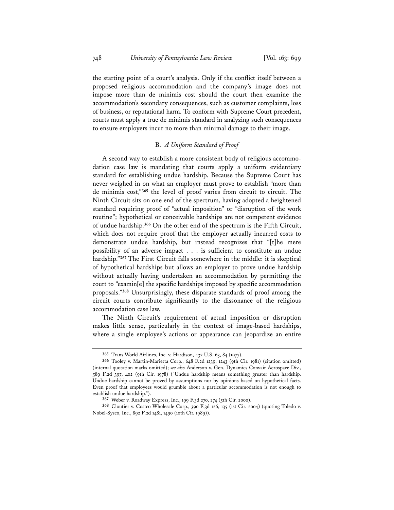the starting point of a court's analysis. Only if the conflict itself between a proposed religious accommodation and the company's image does not impose more than de minimis cost should the court then examine the accommodation's secondary consequences, such as customer complaints, loss of business, or reputational harm. To conform with Supreme Court precedent, courts must apply a true de minimis standard in analyzing such consequences to ensure employers incur no more than minimal damage to their image.

## B. *A Uniform Standard of Proof*

A second way to establish a more consistent body of religious accommodation case law is mandating that courts apply a uniform evidentiary standard for establishing undue hardship. Because the Supreme Court has never weighed in on what an employer must prove to establish "more than de minimis cost,"**<sup>365</sup>** the level of proof varies from circuit to circuit. The Ninth Circuit sits on one end of the spectrum, having adopted a heightened standard requiring proof of "actual imposition" or "disruption of the work routine"; hypothetical or conceivable hardships are not competent evidence of undue hardship.**<sup>366</sup>** On the other end of the spectrum is the Fifth Circuit, which does not require proof that the employer actually incurred costs to demonstrate undue hardship, but instead recognizes that "[t]he mere possibility of an adverse impact . . . is sufficient to constitute an undue hardship."**<sup>367</sup>** The First Circuit falls somewhere in the middle: it is skeptical of hypothetical hardships but allows an employer to prove undue hardship without actually having undertaken an accommodation by permitting the court to "examin[e] the specific hardships imposed by specific accommodation proposals."**<sup>368</sup>** Unsurprisingly, these disparate standards of proof among the circuit courts contribute significantly to the dissonance of the religious accommodation case law.

The Ninth Circuit's requirement of actual imposition or disruption makes little sense, particularly in the context of image-based hardships, where a single employee's actions or appearance can jeopardize an entire

**<sup>365</sup>** Trans World Airlines, Inc. v. Hardison, 432 U.S. 63, 84 (1977).

**<sup>366</sup>** Tooley v. Martin-Marietta Corp., 648 F.2d 1239, 1243 (9th Cir. 1981) (citation omitted) (internal quotation marks omitted); *see also* Anderson v. Gen. Dynamics Convair Aerospace Div., 589 F.2d 397, 402 (9th Cir. 1978) ("Undue hardship means something greater than hardship. Undue hardship cannot be proved by assumptions nor by opinions based on hypothetical facts. Even proof that employees would grumble about a particular accommodation is not enough to establish undue hardship.").

**<sup>367</sup>** Weber v. Roadway Express, Inc., 199 F.3d 270, 274 (5th Cir. 2000).

**<sup>368</sup>** Cloutier v. Costco Wholesale Corp., 390 F.3d 126, 135 (1st Cir. 2004) (quoting Toledo v. Nobel-Sysco, Inc., 892 F.2d 1481, 1490 (10th Cir. 1989)).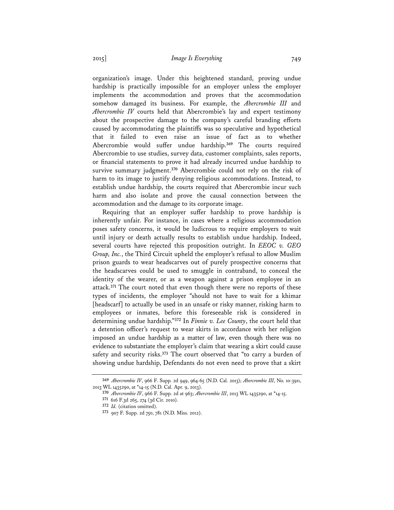organization's image. Under this heightened standard, proving undue hardship is practically impossible for an employer unless the employer implements the accommodation and proves that the accommodation somehow damaged its business. For example, the *Abercrombie III* and *Abercrombie IV* courts held that Abercrombie's lay and expert testimony about the prospective damage to the company's careful branding efforts caused by accommodating the plaintiffs was so speculative and hypothetical that it failed to even raise an issue of fact as to whether Abercrombie would suffer undue hardship.**<sup>369</sup>** The courts required Abercrombie to use studies, survey data, customer complaints, sales reports, or financial statements to prove it had already incurred undue hardship to survive summary judgment.**<sup>370</sup>** Abercrombie could not rely on the risk of harm to its image to justify denying religious accommodations. Instead, to establish undue hardship, the courts required that Abercrombie incur such harm and also isolate and prove the causal connection between the accommodation and the damage to its corporate image.

Requiring that an employer suffer hardship to prove hardship is inherently unfair. For instance, in cases where a religious accommodation poses safety concerns, it would be ludicrous to require employers to wait until injury or death actually results to establish undue hardship. Indeed, several courts have rejected this proposition outright. In *EEOC v. GEO Group, Inc.*, the Third Circuit upheld the employer's refusal to allow Muslim prison guards to wear headscarves out of purely prospective concerns that the headscarves could be used to smuggle in contraband, to conceal the identity of the wearer, or as a weapon against a prison employee in an attack.**<sup>371</sup>** The court noted that even though there were no reports of these types of incidents, the employer "should not have to wait for a khimar [headscarf] to actually be used in an unsafe or risky manner, risking harm to employees or inmates, before this foreseeable risk is considered in determining undue hardship."**<sup>372</sup>** In *Finnie v. Lee County*, the court held that a detention officer's request to wear skirts in accordance with her religion imposed an undue hardship as a matter of law, even though there was no evidence to substantiate the employer's claim that wearing a skirt could cause safety and security risks.**<sup>373</sup>** The court observed that "to carry a burden of showing undue hardship, Defendants do not even need to prove that a skirt

**<sup>369</sup>** *Abercrombie IV*, 966 F. Supp. 2d 949, 964-65 (N.D. Cal. 2013); *Abercrombie III*, No. 10-3911, 2013 WL 1435290, at \*14-15 (N.D. Cal. Apr. 9, 2013).

**<sup>370</sup>** *Abercrombie IV*, 966 F. Supp. 2d at 963; *Abercrombie III*, 2013 WL 1435290, at \*14-15.

**<sup>371</sup>** 616 F.3d 265, 274 (3d Cir. 2010).

**<sup>372</sup>** *Id.* (citation omitted).

**<sup>373</sup>** 907 F. Supp. 2d 750, 781 (N.D. Miss. 2012).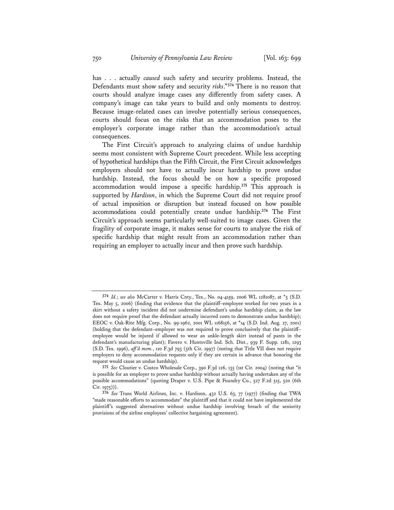has . . . actually *caused* such safety and security problems. Instead, the Defendants must show safety and security *risks*."**<sup>374</sup>** There is no reason that courts should analyze image cases any differently from safety cases. A company's image can take years to build and only moments to destroy. Because image-related cases can involve potentially serious consequences, courts should focus on the risks that an accommodation poses to the employer's corporate image rather than the accommodation's actual consequences.

The First Circuit's approach to analyzing claims of undue hardship seems most consistent with Supreme Court precedent. While less accepting of hypothetical hardships than the Fifth Circuit, the First Circuit acknowledges employers should not have to actually incur hardship to prove undue hardship. Instead, the focus should be on how a specific proposed accommodation would impose a specific hardship.**<sup>375</sup>**This approach is supported by *Hardison*, in which the Supreme Court did not require proof of actual imposition or disruption but instead focused on how possible accommodations could potentially create undue hardship.**<sup>376</sup>** The First Circuit's approach seems particularly well-suited to image cases. Given the fragility of corporate image, it makes sense for courts to analyze the risk of specific hardship that might result from an accommodation rather than requiring an employer to actually incur and then prove such hardship.

**<sup>374</sup>** *Id.*; *see also* McCarter v. Harris Cnty., Tex., No. 04-4159, 2006 WL 1281087, at \*5 (S.D. Tex. May 5, 2006) (finding that evidence that the plaintiff–employee worked for two years in a skirt without a safety incident did not undermine defendant's undue hardship claim, as the law does not require proof that the defendant actually incurred costs to demonstrate undue hardship); EEOC v. Oak-Rite Mfg. Corp., No. 99-1962, 2001 WL 1168156, at \*14 (S.D. Ind. Aug. 27, 2001) (holding that the defendant–employer was not required to prove conclusively that the plaintiff– employee would be injured if allowed to wear an ankle-length skirt instead of pants in the defendant's manufacturing plant); Favero v. Huntsville Ind. Sch. Dist., 939 F. Supp. 1281, 1293 (S.D. Tex. 1996), *aff 'd mem.*, 110 F.3d 793 (5th Cir. 1997) (noting that Title VII does not require employers to deny accommodation requests only if they are certain in advance that honoring the request would cause an undue hardship).

**<sup>375</sup>** *See* Cloutier v. Costco Wholesale Corp., 390 F.3d 126, 135 (1st Cir. 2004) (noting that "it is possible for an employer to prove undue hardship without actually having undertaken any of the possible accommodations" (quoting Draper v. U.S. Pipe & Foundry Co., 527 F.2d 515, 520 (6th  $Cir. 1975)$ ).

**<sup>376</sup>** *See* Trans World Airlines, Inc. v. Hardison, 432 U.S. 63, 77 (1977) (finding that TWA "made reasonable efforts to accommodate" the plaintiff and that it could not have implemented the plaintiff's suggested alternatives without undue hardship involving breach of the seniority provisions of the airline employees' collective bargaining agreement).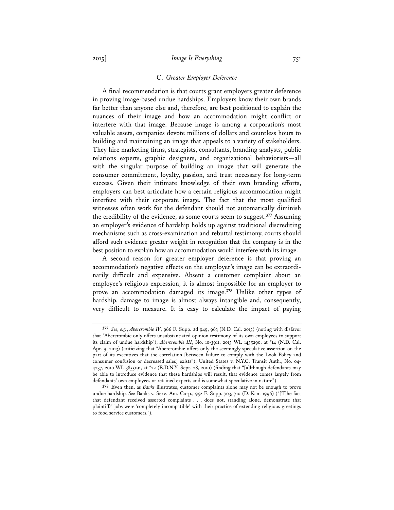#### C. *Greater Employer Deference*

A final recommendation is that courts grant employers greater deference in proving image-based undue hardships. Employers know their own brands far better than anyone else and, therefore, are best positioned to explain the nuances of their image and how an accommodation might conflict or interfere with that image. Because image is among a corporation's most valuable assets, companies devote millions of dollars and countless hours to building and maintaining an image that appeals to a variety of stakeholders. They hire marketing firms, strategists, consultants, branding analysts, public relations experts, graphic designers, and organizational behaviorists—all with the singular purpose of building an image that will generate the consumer commitment, loyalty, passion, and trust necessary for long-term success. Given their intimate knowledge of their own branding efforts, employers can best articulate how a certain religious accommodation might interfere with their corporate image. The fact that the most qualified witnesses often work for the defendant should not automatically diminish the credibility of the evidence, as some courts seem to suggest.**<sup>377</sup>** Assuming an employer's evidence of hardship holds up against traditional discrediting mechanisms such as cross-examination and rebuttal testimony, courts should afford such evidence greater weight in recognition that the company is in the best position to explain how an accommodation would interfere with its image.

A second reason for greater employer deference is that proving an accommodation's negative effects on the employer's image can be extraordinarily difficult and expensive. Absent a customer complaint about an employee's religious expression, it is almost impossible for an employer to prove an accommodation damaged its image.**<sup>378</sup>** Unlike other types of hardship, damage to image is almost always intangible and, consequently, very difficult to measure. It is easy to calculate the impact of paying

**<sup>377</sup>** *See, e.g.*, *Abercrombie IV*, 966 F. Supp. 2d 949, 963 (N.D. Cal. 2013) (noting with disfavor that "Abercrombie only offers unsubstantiated opinion testimony of its own employees to support its claim of undue hardship"); *Abercrombie III*, No. 10-3911, 2013 WL 1435290, at \*14 (N.D. Cal. Apr. 9, 2013) (criticizing that "Abercrombie offers only the seemingly speculative assertion on the part of its executives that the correlation [between failure to comply with the Look Policy and consumer confusion or decreased sales] exists"); United States v. N.Y.C. Transit Auth., No. 04- 4237, 2010 WL 3855191, at \*22 (E.D.N.Y. Sept. 28, 2010) (finding that "[a]lthough defendants may be able to introduce evidence that these hardships will result, that evidence comes largely from defendants' own employees or retained experts and is somewhat speculative in nature").

**<sup>378</sup>** Even then, as *Banks* illustrates, customer complaints alone may not be enough to prove undue hardship. *See* Banks v. Serv. Am. Corp., 952 F. Supp. 703, 710 (D. Kan. 1996) ("[T]he fact that defendant received assorted complaints . . . does not, standing alone, demonstrate that plaintiffs' jobs were 'completely incompatible' with their practice of extending religious greetings to food service customers.").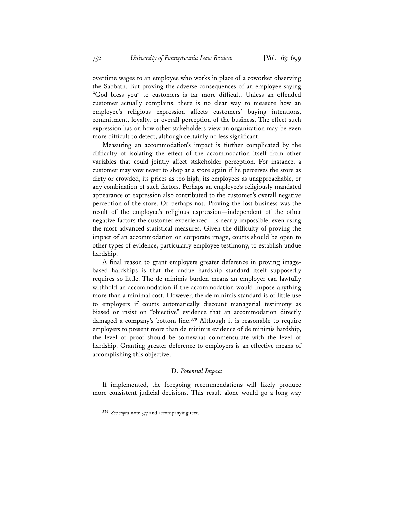overtime wages to an employee who works in place of a coworker observing the Sabbath. But proving the adverse consequences of an employee saying "God bless you" to customers is far more difficult. Unless an offended customer actually complains, there is no clear way to measure how an employee's religious expression affects customers' buying intentions, commitment, loyalty, or overall perception of the business. The effect such expression has on how other stakeholders view an organization may be even more difficult to detect, although certainly no less significant.

Measuring an accommodation's impact is further complicated by the difficulty of isolating the effect of the accommodation itself from other variables that could jointly affect stakeholder perception. For instance, a customer may vow never to shop at a store again if he perceives the store as dirty or crowded, its prices as too high, its employees as unapproachable, or any combination of such factors. Perhaps an employee's religiously mandated appearance or expression also contributed to the customer's overall negative perception of the store. Or perhaps not. Proving the lost business was the result of the employee's religious expression—independent of the other negative factors the customer experienced—is nearly impossible, even using the most advanced statistical measures. Given the difficulty of proving the impact of an accommodation on corporate image, courts should be open to other types of evidence, particularly employee testimony, to establish undue hardship.

A final reason to grant employers greater deference in proving imagebased hardships is that the undue hardship standard itself supposedly requires so little. The de minimis burden means an employer can lawfully withhold an accommodation if the accommodation would impose anything more than a minimal cost. However, the de minimis standard is of little use to employers if courts automatically discount managerial testimony as biased or insist on "objective" evidence that an accommodation directly damaged a company's bottom line.**<sup>379</sup>** Although it is reasonable to require employers to present more than de minimis evidence of de minimis hardship, the level of proof should be somewhat commensurate with the level of hardship. Granting greater deference to employers is an effective means of accomplishing this objective.

## D. *Potential Impact*

If implemented, the foregoing recommendations will likely produce more consistent judicial decisions. This result alone would go a long way

**<sup>379</sup>** *See supra* note 377 and accompanying text.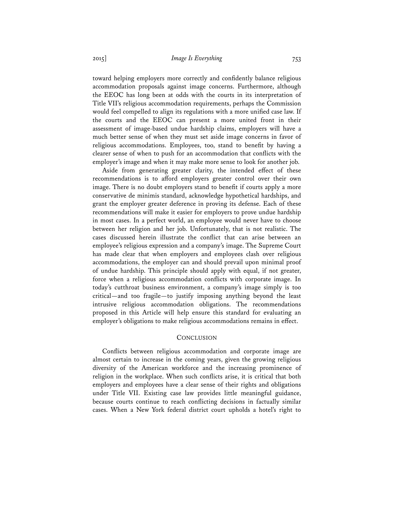toward helping employers more correctly and confidently balance religious accommodation proposals against image concerns. Furthermore, although the EEOC has long been at odds with the courts in its interpretation of Title VII's religious accommodation requirements, perhaps the Commission would feel compelled to align its regulations with a more unified case law. If the courts and the EEOC can present a more united front in their assessment of image-based undue hardship claims, employers will have a much better sense of when they must set aside image concerns in favor of religious accommodations. Employees, too, stand to benefit by having a clearer sense of when to push for an accommodation that conflicts with the employer's image and when it may make more sense to look for another job.

Aside from generating greater clarity, the intended effect of these recommendations is to afford employers greater control over their own image. There is no doubt employers stand to benefit if courts apply a more conservative de minimis standard, acknowledge hypothetical hardships, and grant the employer greater deference in proving its defense. Each of these recommendations will make it easier for employers to prove undue hardship in most cases. In a perfect world, an employee would never have to choose between her religion and her job. Unfortunately, that is not realistic. The cases discussed herein illustrate the conflict that can arise between an employee's religious expression and a company's image. The Supreme Court has made clear that when employers and employees clash over religious accommodations, the employer can and should prevail upon minimal proof of undue hardship. This principle should apply with equal, if not greater, force when a religious accommodation conflicts with corporate image. In today's cutthroat business environment, a company's image simply is too critical—and too fragile—to justify imposing anything beyond the least intrusive religious accommodation obligations. The recommendations proposed in this Article will help ensure this standard for evaluating an employer's obligations to make religious accommodations remains in effect.

#### **CONCLUSION**

Conflicts between religious accommodation and corporate image are almost certain to increase in the coming years, given the growing religious diversity of the American workforce and the increasing prominence of religion in the workplace. When such conflicts arise, it is critical that both employers and employees have a clear sense of their rights and obligations under Title VII. Existing case law provides little meaningful guidance, because courts continue to reach conflicting decisions in factually similar cases. When a New York federal district court upholds a hotel's right to